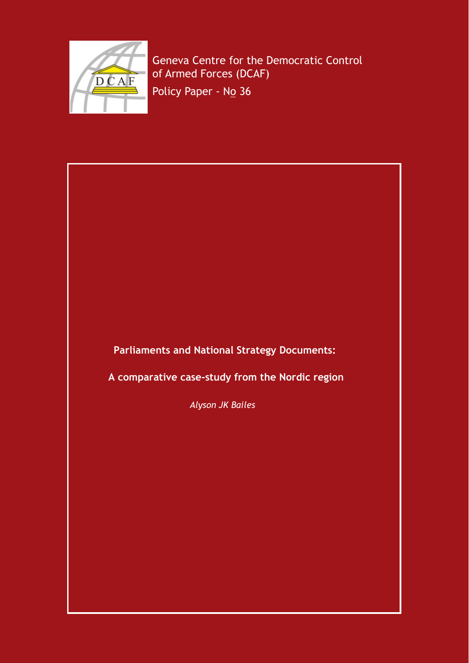

 Geneva Centre for the Democratic Control of Armed Forces (DCAF)

Policy Paper - No 36

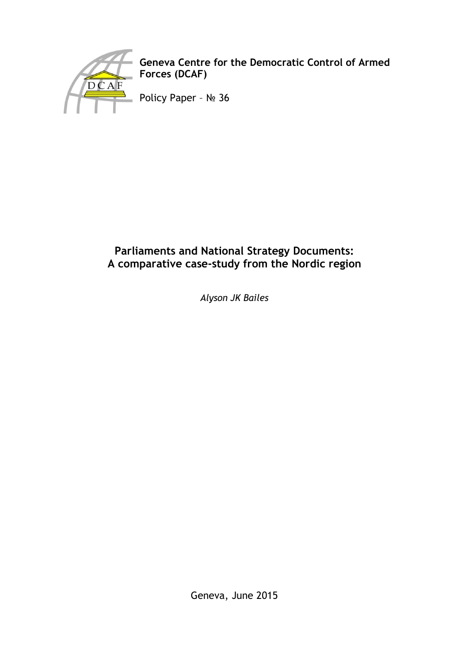

**Geneva Centre for the Democratic Control of Armed Forces (DCAF)** 

Policy Paper – № 36

# **Parliaments and National Strategy Documents: A comparative case-study from the Nordic region**

*Alyson JK Bailes* 

Geneva, June 2015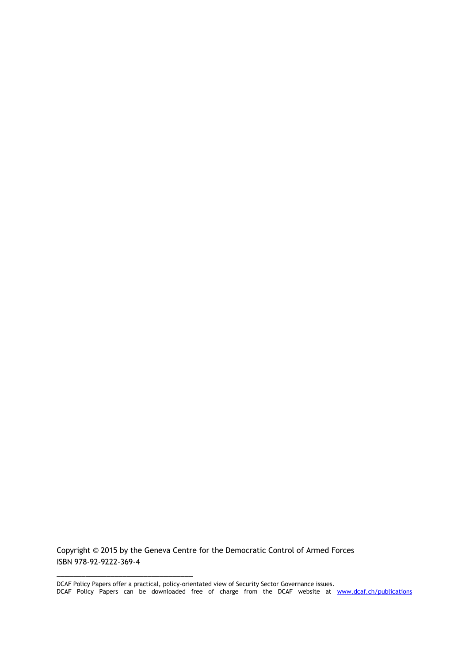Copyright © 2015 by the Geneva Centre for the Democratic Control of Armed Forces ISBN 978-92-9222-369-4

\_\_\_\_\_\_\_\_\_\_\_\_\_\_\_\_\_\_\_\_\_\_\_\_\_\_\_\_\_\_\_\_\_

DCAF Policy Papers offer a practical, policy-orientated view of Security Sector Governance issues. DCAF Policy Papers can be downloaded free of charge from the DCAF website at [www.dcaf.ch/publications](http://www.dcaf.ch/publications)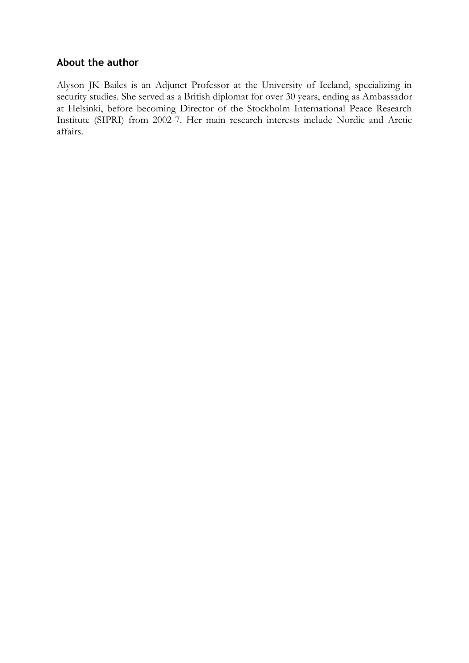## **About the author**

Alyson JK Bailes is an Adjunct Professor at the University of Iceland, specializing in security studies. She served as a British diplomat for over 30 years, ending as Ambassador at Helsinki, before becoming Director of the Stockholm International Peace Research Institute (SIPRI) from 2002-7. Her main research interests include Nordic and Arctic affairs.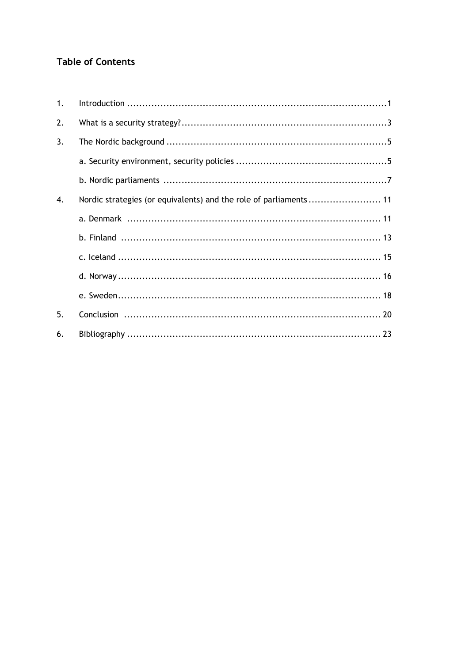# **Table of Contents**

| 1. |                                                                   |  |
|----|-------------------------------------------------------------------|--|
| 2. |                                                                   |  |
| 3. |                                                                   |  |
|    |                                                                   |  |
|    |                                                                   |  |
| 4. | Nordic strategies (or equivalents) and the role of parliaments 11 |  |
|    |                                                                   |  |
|    |                                                                   |  |
|    |                                                                   |  |
|    |                                                                   |  |
|    |                                                                   |  |
| 5. |                                                                   |  |
| 6. |                                                                   |  |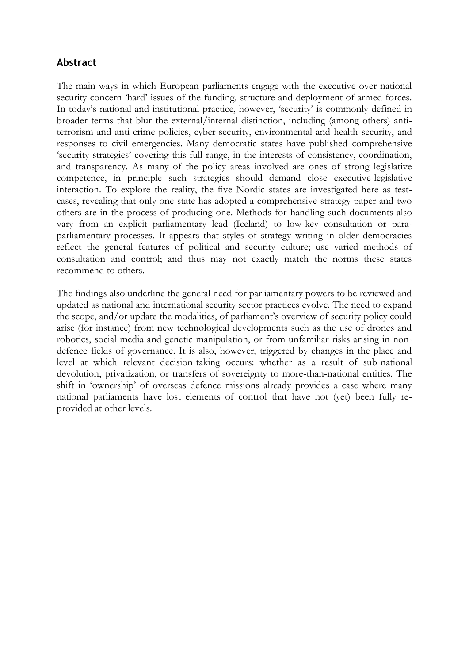## **Abstract**

The main ways in which European parliaments engage with the executive over national security concern 'hard' issues of the funding, structure and deployment of armed forces. In today's national and institutional practice, however, 'security' is commonly defined in broader terms that blur the external/internal distinction, including (among others) antiterrorism and anti-crime policies, cyber-security, environmental and health security, and responses to civil emergencies. Many democratic states have published comprehensive 'security strategies' covering this full range, in the interests of consistency, coordination, and transparency. As many of the policy areas involved are ones of strong legislative competence, in principle such strategies should demand close executive-legislative interaction. To explore the reality, the five Nordic states are investigated here as testcases, revealing that only one state has adopted a comprehensive strategy paper and two others are in the process of producing one. Methods for handling such documents also vary from an explicit parliamentary lead (Iceland) to low-key consultation or paraparliamentary processes. It appears that styles of strategy writing in older democracies reflect the general features of political and security culture; use varied methods of consultation and control; and thus may not exactly match the norms these states recommend to others.

The findings also underline the general need for parliamentary powers to be reviewed and updated as national and international security sector practices evolve. The need to expand the scope, and/or update the modalities, of parliament's overview of security policy could arise (for instance) from new technological developments such as the use of drones and robotics, social media and genetic manipulation, or from unfamiliar risks arising in nondefence fields of governance. It is also, however, triggered by changes in the place and level at which relevant decision-taking occurs: whether as a result of sub-national devolution, privatization, or transfers of sovereignty to more-than-national entities. The shift in 'ownership' of overseas defence missions already provides a case where many national parliaments have lost elements of control that have not (yet) been fully reprovided at other levels.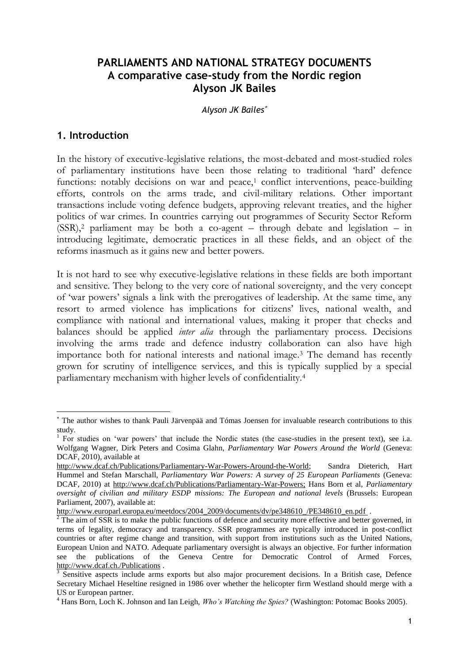## **PARLIAMENTS AND NATIONAL STRATEGY DOCUMENTS A comparative case-study from the Nordic region Alyson JK Bailes**

#### *Alyson JK Bailes*

#### **1. Introduction**

-

In the history of executive-legislative relations, the most-debated and most-studied roles of parliamentary institutions have been those relating to traditional 'hard' defence functions: notably decisions on war and peace,<sup>1</sup> conflict interventions, peace-building efforts, controls on the arms trade, and civil-military relations. Other important transactions include voting defence budgets, approving relevant treaties, and the higher politics of war crimes. In countries carrying out programmes of Security Sector Reform (SSR),<sup>2</sup> parliament may be both a co-agent – through debate and legislation – in introducing legitimate, democratic practices in all these fields, and an object of the reforms inasmuch as it gains new and better powers.

It is not hard to see why executive-legislative relations in these fields are both important and sensitive. They belong to the very core of national sovereignty, and the very concept of 'war powers' signals a link with the prerogatives of leadership. At the same time, any resort to armed violence has implications for citizens' lives, national wealth, and compliance with national and international values, making it proper that checks and balances should be applied *inter alia* through the parliamentary process. Decisions involving the arms trade and defence industry collaboration can also have high importance both for national interests and national image.<sup>3</sup> The demand has recently grown for scrutiny of intelligence services, and this is typically supplied by a special parliamentary mechanism with higher levels of confidentiality.<sup>4</sup>

The author wishes to thank Pauli Järvenpää and Tómas Joensen for invaluable research contributions to this study.

<sup>&</sup>lt;sup>1</sup> For studies on 'war powers' that include the Nordic states (the case-studies in the present text), see i.a. Wolfgang Wagner, Dirk Peters and Cosima Glahn, *Parliamentary War Powers Around the World* (Geneva: DCAF, 2010), available at

[http://www.dcaf.ch/Publications/Parliamentary-War-Powers-Around-the-World;](http://www.dcaf.ch/Publications/Parliamentary-War-Powers-Around-the-World) Sandra Dieterich, Hart Hummel and Stefan Marschall, *Parliamentary War Powers: A survey of 25 European Parliaments* (Geneva: DCAF, 2010) at [http://www.dcaf.ch/Publications/Parliamentary-War-Powers;](http://www.dcaf.ch/Publications/Parliamentary-War-Powers) Hans Born et al, *Parliamentary oversight of civilian and military ESDP missions: The European and national levels* (Brussels: European Parliament, 2007), available at:

[http://www.europarl.europa.eu/meetdocs/2004\\_2009/documents/dv/pe348610\\_/PE348610\\_en.pdf](http://www.europarl.europa.eu/meetdocs/2004_2009/documents/dv/pe348610_/PE348610_en.pdf) .

 $2^2$  The aim of SSR is to make the public functions of defence and security more effective and better governed, in terms of legality, democracy and transparency. SSR programmes are typically introduced in post-conflict countries or after regime change and transition, with support from institutions such as the United Nations, European Union and NATO. Adequate parliamentary oversight is always an objective. For further information see the publications of the Geneva Centre for Democratic Control of Armed Forces, <http://www.dcaf.ch./Publications>.

<sup>&</sup>lt;sup>3</sup> Sensitive aspects include arms exports but also major procurement decisions. In a British case, Defence Secretary Michael Heseltine resigned in 1986 over whether the helicopter firm Westland should merge with a US or European partner.

<sup>4</sup> Hans Born, Loch K. Johnson and Ian Leigh, *Who's Watching the Spies?* (Washington: Potomac Books 2005).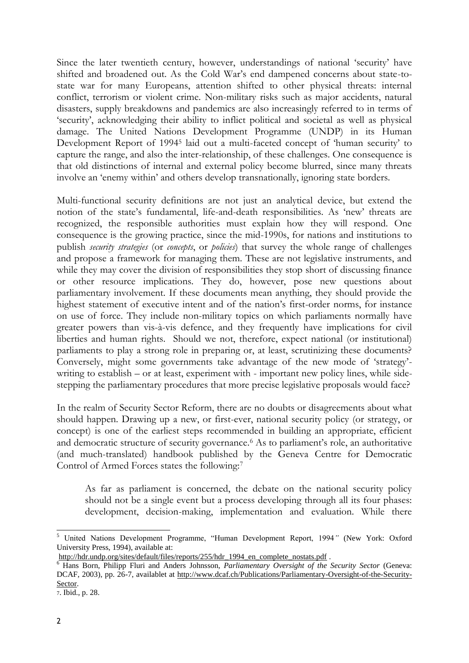Since the later twentieth century, however, understandings of national 'security' have shifted and broadened out. As the Cold War's end dampened concerns about state-tostate war for many Europeans, attention shifted to other physical threats: internal conflict, terrorism or violent crime. Non-military risks such as major accidents, natural disasters, supply breakdowns and pandemics are also increasingly referred to in terms of 'security', acknowledging their ability to inflict political and societal as well as physical damage. The United Nations Development Programme (UNDP) in its Human Development Report of 1994<sup>5</sup> laid out a multi-faceted concept of 'human security' to capture the range, and also the inter-relationship, of these challenges. One consequence is that old distinctions of internal and external policy become blurred, since many threats involve an 'enemy within' and others develop transnationally, ignoring state borders.

Multi-functional security definitions are not just an analytical device, but extend the notion of the state's fundamental, life-and-death responsibilities. As 'new' threats are recognized, the responsible authorities must explain how they will respond. One consequence is the growing practice, since the mid-1990s, for nations and institutions to publish *security strategies* (or *concepts*, or *policies*) that survey the whole range of challenges and propose a framework for managing them. These are not legislative instruments, and while they may cover the division of responsibilities they stop short of discussing finance or other resource implications. They do, however, pose new questions about parliamentary involvement. If these documents mean anything, they should provide the highest statement of executive intent and of the nation's first-order norms, for instance on use of force. They include non-military topics on which parliaments normally have greater powers than vis-à-vis defence, and they frequently have implications for civil liberties and human rights. Should we not, therefore, expect national (or institutional) parliaments to play a strong role in preparing or, at least, scrutinizing these documents? Conversely, might some governments take advantage of the new mode of 'strategy' writing to establish – or at least, experiment with - important new policy lines, while sidestepping the parliamentary procedures that more precise legislative proposals would face?

In the realm of Security Sector Reform, there are no doubts or disagreements about what should happen. Drawing up a new, or first-ever, national security policy (or strategy, or concept) is one of the earliest steps recommended in building an appropriate, efficient and democratic structure of security governance.<sup>6</sup> As to parliament's role, an authoritative (and much-translated) handbook published by the Geneva Centre for Democratic Control of Armed Forces states the following:<sup>7</sup>

As far as parliament is concerned, the debate on the national security policy should not be a single event but a process developing through all its four phases: development, decision-making, implementation and evaluation. While there

<sup>1</sup> <sup>5</sup> United Nations Development Programme, "Human Development Report, 1994*"* (New York: Oxford University Press, 1994), available at:

http://hdr.undp.org/sites/default/files/reports/255/hdr 1994 en complete nostats.pdf .

<sup>6</sup> Hans Born, Philipp Fluri and Anders Johnsson, *Parliamentary Oversight of the Security Sector* (Geneva: DCAF, 2003), pp. 26-7, availablet at [http://www.dcaf.ch/Publications/Parliamentary-Oversight-of-the-Security-](http://www.dcaf.ch/Publications/Parliamentary-Oversight-of-the-Security-Sector)[Sector.](http://www.dcaf.ch/Publications/Parliamentary-Oversight-of-the-Security-Sector)

<sup>7</sup>. Ibid., p. 28.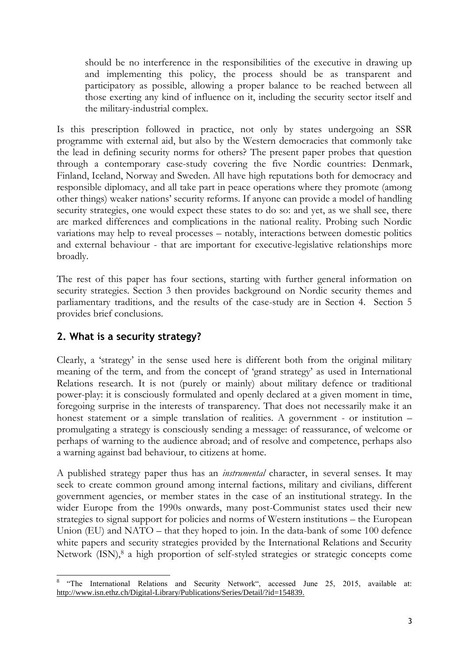should be no interference in the responsibilities of the executive in drawing up and implementing this policy, the process should be as transparent and participatory as possible, allowing a proper balance to be reached between all those exerting any kind of influence on it, including the security sector itself and the military-industrial complex.

Is this prescription followed in practice, not only by states undergoing an SSR programme with external aid, but also by the Western democracies that commonly take the lead in defining security norms for others? The present paper probes that question through a contemporary case-study covering the five Nordic countries: Denmark, Finland, Iceland, Norway and Sweden. All have high reputations both for democracy and responsible diplomacy, and all take part in peace operations where they promote (among other things) weaker nations' security reforms. If anyone can provide a model of handling security strategies, one would expect these states to do so: and yet, as we shall see, there are marked differences and complications in the national reality. Probing such Nordic variations may help to reveal processes – notably, interactions between domestic politics and external behaviour - that are important for executive-legislative relationships more broadly.

The rest of this paper has four sections, starting with further general information on security strategies. Section 3 then provides background on Nordic security themes and parliamentary traditions, and the results of the case-study are in Section 4. Section 5 provides brief conclusions.

# **2. What is a security strategy?**

1

Clearly, a 'strategy' in the sense used here is different both from the original military meaning of the term, and from the concept of 'grand strategy' as used in International Relations research. It is not (purely or mainly) about military defence or traditional power-play: it is consciously formulated and openly declared at a given moment in time, foregoing surprise in the interests of transparency. That does not necessarily make it an honest statement or a simple translation of realities. A government - or institution – promulgating a strategy is consciously sending a message: of reassurance, of welcome or perhaps of warning to the audience abroad; and of resolve and competence, perhaps also a warning against bad behaviour, to citizens at home.

A published strategy paper thus has an *instrumental* character, in several senses. It may seek to create common ground among internal factions, military and civilians, different government agencies, or member states in the case of an institutional strategy. In the wider Europe from the 1990s onwards, many post-Communist states used their new strategies to signal support for policies and norms of Western institutions – the European Union (EU) and NATO – that they hoped to join. In the data-bank of some 100 defence white papers and security strategies provided by the International Relations and Security Network (ISN),<sup>8</sup> a high proportion of self-styled strategies or strategic concepts come

<sup>8</sup> "The International Relations and Security Network", accessed June 25, 2015, available at: [http://www.isn.ethz.ch/Digital-Library/Publications/Series/Detail/?id=154839.](http://www.isn.ethz.ch/Digital-Library/Publications/Series/Detail/?id=154839)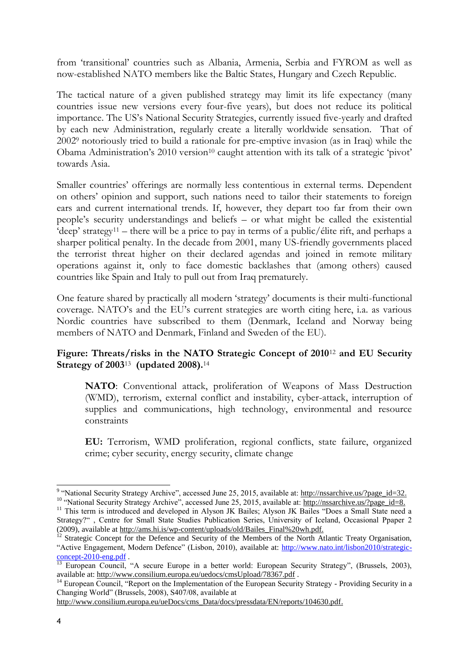from 'transitional' countries such as Albania, Armenia, Serbia and FYROM as well as now-established NATO members like the Baltic States, Hungary and Czech Republic.

The tactical nature of a given published strategy may limit its life expectancy (many countries issue new versions every four-five years), but does not reduce its political importance. The US's National Security Strategies, currently issued five-yearly and drafted by each new Administration, regularly create a literally worldwide sensation. That of 2002<sup>9</sup> notoriously tried to build a rationale for pre-emptive invasion (as in Iraq) while the Obama Administration's 2010 version<sup>10</sup> caught attention with its talk of a strategic 'pivot' towards Asia.

Smaller countries' offerings are normally less contentious in external terms. Dependent on others' opinion and support, such nations need to tailor their statements to foreign ears and current international trends. If, however, they depart too far from their own people's security understandings and beliefs – or what might be called the existential 'deep' strategy<sup>11</sup> – there will be a price to pay in terms of a public/elite rift, and perhaps a sharper political penalty. In the decade from 2001, many US-friendly governments placed the terrorist threat higher on their declared agendas and joined in remote military operations against it, only to face domestic backlashes that (among others) caused countries like Spain and Italy to pull out from Iraq prematurely.

One feature shared by practically all modern 'strategy' documents is their multi-functional coverage. NATO's and the EU's current strategies are worth citing here, i.a. as various Nordic countries have subscribed to them (Denmark, Iceland and Norway being members of NATO and Denmark, Finland and Sweden of the EU).

### **Figure: Threats/risks in the NATO Strategic Concept of 2010**12 **and EU Security Strategy of 2003**<sup>13</sup>  **(updated 2008).**<sup>14</sup>

**NATO**: Conventional attack, proliferation of Weapons of Mass Destruction (WMD), terrorism, external conflict and instability, cyber-attack, interruption of supplies and communications, high technology, environmental and resource constraints

**EU:** Terrorism, WMD proliferation, regional conflicts, state failure, organized crime; cyber security, energy security, climate change

[http://www.consilium.europa.eu/ueDocs/cms\\_Data/docs/pressdata/EN/reports/104630.pdf.](http://www.consilium.europa.eu/ueDocs/cms_Data/docs/pressdata/EN/reports/104630.pdf)

-

<sup>&</sup>lt;sup>9</sup> "National Security Strategy Archive", accessed June 25, 2015, available at: [http://nssarchive.us/?page\\_id=32.](http://nssarchive.us/?page_id=32) <sup>10</sup> "National Security Strategy Archive", accessed June 25, 2015, available at: [http://nssarchive.us/?page\\_id=8.](http://nssarchive.us/?page_id=8)

<sup>&</sup>lt;sup>11</sup> This term is introduced and developed in Alyson JK Bailes; Alyson JK Bailes "Does a Small State need a Strategy?" , Centre for Small State Studies Publication Series, University of Iceland, Occasional Ppaper 2 (2009), available at http://ams.hi.is/wp-content/uploads/old/Bailes\_Final%20wh.pdf.

<sup>&</sup>lt;sup>12</sup> Strategic Concept for the Defence and Security of the Members of the North Atlantic Treaty Organisation, "Active Engagement, Modern Defence" (Lisbon, 2010), available at: [http://www.nato.int/lisbon2010/strategic](http://www.nato.int/lisbon2010/strategic-concept-2010-eng.pdf)[concept-2010-eng.pdf](http://www.nato.int/lisbon2010/strategic-concept-2010-eng.pdf) .

<sup>&</sup>lt;sup>13</sup> European Council, "A secure Europe in a better world: European Security Strategy", (Brussels, 2003), available at:<http://www.consilium.europa.eu/uedocs/cmsUpload/78367.pdf>.

<sup>&</sup>lt;sup>14</sup> European Council, "Report on the Implementation of the European Security Strategy - Providing Security in a Changing World" (Brussels, 2008), S407/08, available at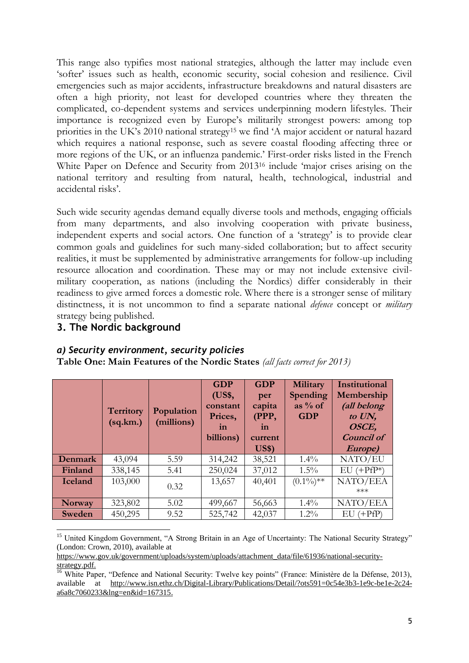This range also typifies most national strategies, although the latter may include even 'softer' issues such as health, economic security, social cohesion and resilience. Civil emergencies such as major accidents, infrastructure breakdowns and natural disasters are often a high priority, not least for developed countries where they threaten the complicated, co-dependent systems and services underpinning modern lifestyles. Their importance is recognized even by Europe's militarily strongest powers: among top priorities in the UK's 2010 national strategy<sup>15</sup> we find 'A major accident or natural hazard which requires a national response, such as severe coastal flooding affecting three or more regions of the UK, or an influenza pandemic.' First-order risks listed in the French White Paper on Defence and Security from 2013<sup>16</sup> include 'major crises arising on the national territory and resulting from natural, health, technological, industrial and accidental risks'.

Such wide security agendas demand equally diverse tools and methods, engaging officials from many departments, and also involving cooperation with private business, independent experts and social actors. One function of a 'strategy' is to provide clear common goals and guidelines for such many-sided collaboration; but to affect security realities, it must be supplemented by administrative arrangements for follow-up including resource allocation and coordination. These may or may not include extensive civilmilitary cooperation, as nations (including the Nordics) differ considerably in their readiness to give armed forces a domestic role. Where there is a stronger sense of military distinctness, it is not uncommon to find a separate national *defence* concept or *military* strategy being published.

### **3. The Nordic background**

#### *a) Security environment, security policies*

**Table One: Main Features of the Nordic States** *(all facts correct for 2013)*

|                 | <b>Territory</b><br>(sq.km.) | Population<br>(millions) | <b>GDP</b><br>(US\$,<br>constant<br>Prices,<br>in<br>billions) | <b>GDP</b><br>per<br>capita<br>(PPP,<br>in<br>current<br>US\$ | Military<br><b>Spending</b><br>as $%$ of<br><b>GDP</b> | Institutional<br>Membership<br>(all belong<br>to UN,<br>OSCE,<br><b>Council of</b><br>Europe) |
|-----------------|------------------------------|--------------------------|----------------------------------------------------------------|---------------------------------------------------------------|--------------------------------------------------------|-----------------------------------------------------------------------------------------------|
| Denmark         | 43,094                       | 5.59                     | 314,242                                                        | 38,521                                                        | $1.4\%$                                                | NATO/EU                                                                                       |
| Finland         | 338,145                      | 5.41                     | 250,024                                                        | 37,012                                                        | $1.5\%$                                                | $(+PfP*)$<br>EU                                                                               |
| <b>I</b> celand | 103,000                      | 0.32                     | 13,657                                                         | 40,401                                                        | $(0.1\%)$ **                                           | NATO/EEA<br>$***$                                                                             |
| <b>Norway</b>   | 323,802                      | 5.02                     | 499,667                                                        | 56,663                                                        | $1.4\%$                                                | NATO/EEA                                                                                      |
| Sweden          | 450,295                      | 9.52                     | 525,742                                                        | 42,037                                                        | $1.2\%$                                                | (+PfP)<br>EU                                                                                  |

<sup>-</sup><sup>15</sup> United Kingdom Government, "A Strong Britain in an Age of Uncertainty: The National Security Strategy" (London: Crown, 2010), available at

[https://www.gov.uk/government/uploads/system/uploads/attachment\\_data/file/61936/national-security](https://www.gov.uk/government/uploads/system/uploads/attachment_data/file/61936/national-security-strategy.pdf)[strategy.pdf.](https://www.gov.uk/government/uploads/system/uploads/attachment_data/file/61936/national-security-strategy.pdf)

<sup>&</sup>lt;sup>16</sup> White Paper, "Defence and National Security: Twelve key points" (France: Ministère de la Défense, 2013), available at [http://www.isn.ethz.ch/Digital-Library/Publications/Detail/?ots591=0c54e3b3-1e9c-be1e-2c24](http://www.isn.ethz.ch/Digital-Library/Publications/Detail/?ots591=0c54e3b3-1e9c-be1e-2c24-a6a8c7060233&lng=en&id=167315) [a6a8c7060233&lng=en&id=167315.](http://www.isn.ethz.ch/Digital-Library/Publications/Detail/?ots591=0c54e3b3-1e9c-be1e-2c24-a6a8c7060233&lng=en&id=167315)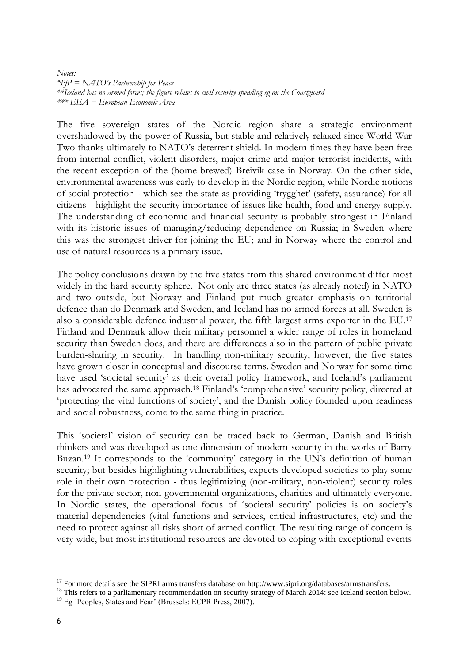*Notes: \*PfP = NATO's Partnership for Peace \*\*Iceland has no armed forces; the figure relates to civil security spending eg on the Coastguard \*\*\* EEA = European Economic Area* 

The five sovereign states of the Nordic region share a strategic environment overshadowed by the power of Russia, but stable and relatively relaxed since World War Two thanks ultimately to NATO's deterrent shield. In modern times they have been free from internal conflict, violent disorders, major crime and major terrorist incidents, with the recent exception of the (home-brewed) Breivik case in Norway. On the other side, environmental awareness was early to develop in the Nordic region, while Nordic notions of social protection - which see the state as providing 'trygghet' (safety, assurance) for all citizens - highlight the security importance of issues like health, food and energy supply. The understanding of economic and financial security is probably strongest in Finland with its historic issues of managing/reducing dependence on Russia; in Sweden where this was the strongest driver for joining the EU; and in Norway where the control and use of natural resources is a primary issue.

The policy conclusions drawn by the five states from this shared environment differ most widely in the hard security sphere. Not only are three states (as already noted) in NATO and two outside, but Norway and Finland put much greater emphasis on territorial defence than do Denmark and Sweden, and Iceland has no armed forces at all. Sweden is also a considerable defence industrial power, the fifth largest arms exporter in the EU.<sup>17</sup> Finland and Denmark allow their military personnel a wider range of roles in homeland security than Sweden does, and there are differences also in the pattern of public-private burden-sharing in security. In handling non-military security, however, the five states have grown closer in conceptual and discourse terms. Sweden and Norway for some time have used 'societal security' as their overall policy framework, and Iceland's parliament has advocated the same approach.<sup>18</sup> Finland's 'comprehensive' security policy, directed at 'protecting the vital functions of society', and the Danish policy founded upon readiness and social robustness, come to the same thing in practice.

This 'societal' vision of security can be traced back to German, Danish and British thinkers and was developed as one dimension of modern security in the works of Barry Buzan.<sup>19</sup> It corresponds to the 'community' category in the UN's definition of human security; but besides highlighting vulnerabilities, expects developed societies to play some role in their own protection - thus legitimizing (non-military, non-violent) security roles for the private sector, non-governmental organizations, charities and ultimately everyone. In Nordic states, the operational focus of 'societal security' policies is on society's material dependencies (vital functions and services, critical infrastructures, etc) and the need to protect against all risks short of armed conflict. The resulting range of concern is very wide, but most institutional resources are devoted to coping with exceptional events

<sup>&</sup>lt;sup>17</sup> For more details see the SIPRI arms transfers database on [http://www.sipri.org/databases/armstransfers.](http://www.sipri.org/databases/armstransfers)

<sup>&</sup>lt;sup>18</sup> This refers to a parliamentary recommendation on security strategy of March 2014: see Iceland section below.

<sup>&</sup>lt;sup>19</sup> Eg <sup>T</sup>eoples, States and Fear' (Brussels: ECPR Press, 2007).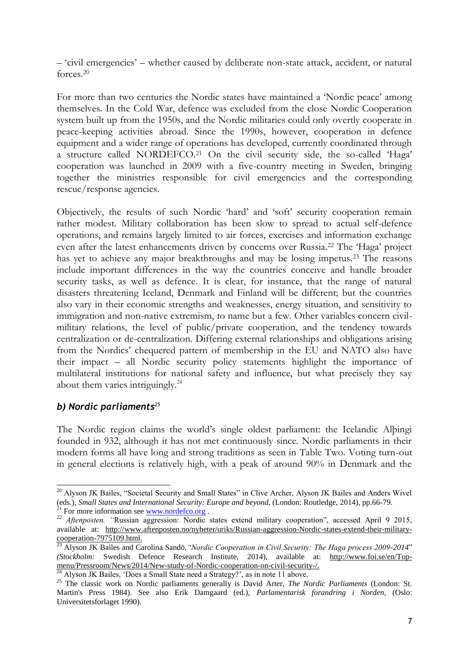– 'civil emergencies' – whether caused by deliberate non-state attack, accident, or natural forces.<sup>20</sup>

For more than two centuries the Nordic states have maintained a 'Nordic peace' among themselves. In the Cold War, defence was excluded from the close Nordic Cooperation system built up from the 1950s, and the Nordic militaries could only overtly cooperate in peace-keeping activities abroad. Since the 1990s, however, cooperation in defence equipment and a wider range of operations has developed, currently coordinated through a structure called NORDEFCO.21 On the civil security side, the so-called 'Haga' cooperation was launched in 2009 with a five-country meeting in Sweden, bringing together the ministries responsible for civil emergencies and the corresponding rescue/response agencies.

Objectively, the results of such Nordic 'hard' and 'soft' security cooperation remain rather modest. Military collaboration has been slow to spread to actual self-defence operations, and remains largely limited to air forces, exercises and information exchange even after the latest enhancements driven by concerns over Russia.<sup>22</sup> The 'Haga' project has yet to achieve any major breakthroughs and may be losing impetus.<sup>23</sup> The reasons include important differences in the way the countries conceive and handle broader security tasks, as well as defence. It is clear, for instance, that the range of natural disasters threatening Iceland, Denmark and Finland will be different; but the countries also vary in their economic strengths and weaknesses, energy situation, and sensitivity to immigration and non-native extremism, to name but a few. Other variables concern civilmilitary relations, the level of public/private cooperation, and the tendency towards centralization or de-centralization. Differing external relationships and obligations arising from the Nordics' chequered pattern of membership in the EU and NATO also have their impact – all Nordic security policy statements highlight the importance of multilateral institutions for national safety and influence, but what precisely they say about them varies intriguingly.<sup>24</sup>

### *b) Nordic parliaments<sup>25</sup>*

The Nordic region claims the world's single oldest parliament: the Icelandic Alþingi founded in 932, although it has not met continuously since. Nordic parliaments in their modern forms all have long and strong traditions as seen in Table Two. Voting turn-out in general elections is relatively high, with a peak of around 90% in Denmark and the

 $\frac{24}{24}$  Alyson JK Bailes, 'Does a Small State need a Strategy?', as in note 11 above.

<sup>-</sup><sup>20</sup> Alyson JK Bailes, "Societal Security and Small States" in Clive Archer, Alyson JK Bailes and Anders Wivel (eds.), *Small States and International Security: Europe and beyond,* (London: Routledge, 2014), pp.66-79. <sup>21</sup> For more information see  $\frac{www.nordefco.org}{...}$ .

<sup>&</sup>lt;sup>22</sup> *Aftenposten.* "Russian aggression: Nordic states extend military cooperation", accessed April 9 2015, available at: [http://www.aftenposten.no/nyheter/uriks/Russian-aggression-Nordic-states-extend-their-military](http://www.aftenposten.no/nyheter/uriks/Russian-aggression-Nordic-states-extend-their-military-cooperation-7975109.html)[cooperation-7975109.html.](http://www.aftenposten.no/nyheter/uriks/Russian-aggression-Nordic-states-extend-their-military-cooperation-7975109.html) 

<sup>&</sup>lt;sup>23</sup> Alyson JK Bailes and Carolina Sandö, "Nordic Cooperation in Civil Security: The Haga process 2009-2014" *(Stockholm:* Swedish Defence Research Institute, 2014), available at: [http://www.foi.se/en/Top](http://www.foi.se/en/Top-menu/Pressroom/News/2014/New-study-of-Nordic-cooperation-on-civil-security-/)[menu/Pressroom/News/2014/New-study-of-Nordic-cooperation-on-civil-security-/.](http://www.foi.se/en/Top-menu/Pressroom/News/2014/New-study-of-Nordic-cooperation-on-civil-security-/)

<sup>&</sup>lt;sup>25</sup> The classic work on Nordic parliaments generally is David Arter, *The Nordic Parliaments* (London: St. Martin's Press 1984). See also Erik Damgaard (ed.), *Parlamentarisk forandring i Norden,* (Oslo: Universitetsforlaget 1990).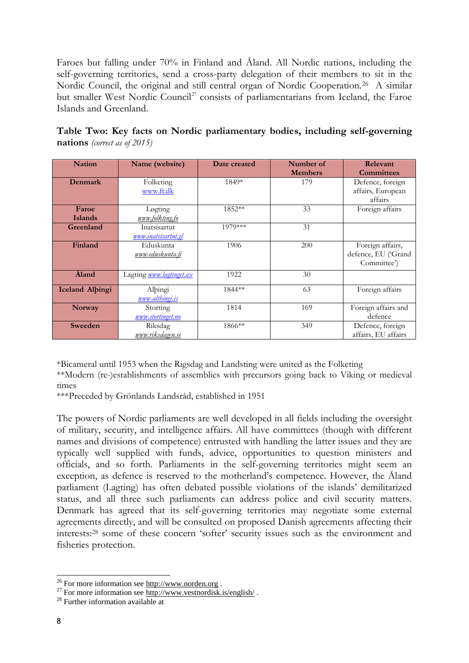Faroes but falling under 70% in Finland and Åland. All Nordic nations, including the self-governing territories, send a cross-party delegation of their members to sit in the Nordic Council, the original and still central organ of Nordic Cooperation.<sup>26</sup> A similar but smaller West Nordic Council<sup>27</sup> consists of parliamentarians from Iceland, the Faroe Islands and Greenland.

|                                     |  |  |  |  | Table Two: Key facts on Nordic parliamentary bodies, including self-governing |  |
|-------------------------------------|--|--|--|--|-------------------------------------------------------------------------------|--|
| <b>nations</b> (correct as of 2015) |  |  |  |  |                                                                               |  |

| <b>Nation</b>          | Name (website)                  | Date created | Number of      | Relevant            |  |
|------------------------|---------------------------------|--------------|----------------|---------------------|--|
|                        |                                 |              | <b>Members</b> | <b>Committees</b>   |  |
| Denmark                | Folketing                       | 1849*        | 179            | Defence, foreign    |  |
|                        | www.ft.dk                       |              |                | affairs, European   |  |
|                        |                                 |              |                | affairs             |  |
| Faroe                  | Løgting                         | 1852**       | 33             | Foreign affairs     |  |
| <b>Islands</b>         | www.folkting.fo                 |              |                |                     |  |
| Greenland              | Inatsisartut                    | 1979***      | 31             |                     |  |
|                        | <u>www.inatsisartut.gl</u>      |              |                |                     |  |
| Finland                | Eduskunta                       | 1906         | 200            | Foreign affairs,    |  |
|                        | <u>www.eduskunta.fi</u>         |              |                | defence, EU ('Grand |  |
|                        |                                 |              |                | Committee')         |  |
| Åland                  | Lagting <i>www.lagtinget.ax</i> | 1922         | 30             |                     |  |
|                        |                                 | 1844 **      |                |                     |  |
| <b>Iceland Albingi</b> | Albingi                         |              | 63             | Foreign affairs     |  |
|                        | www.althingi.is                 |              |                |                     |  |
| <b>Norway</b>          | Storting                        | 1814         | 169            | Foreign affairs and |  |
|                        | www.stortinget.no               |              |                | defence             |  |
| Sweeden                | Riksdag                         | 1866**       | 349            | Defence, foreign    |  |
|                        | www.riksdagen.se                |              |                | affairs, EU affairs |  |

\*Bicameral until 1953 when the Rigsdag and Landsting were united as the Folketing

\*\*Modern (re-)establishments of assemblies with precursors going back to Viking or medieval times

\*\*\*Preceded by Grönlands Landsråd, established in 1951

The powers of Nordic parliaments are well developed in all fields including the oversight of military, security, and intelligence affairs. All have committees (though with different names and divisions of competence) entrusted with handling the latter issues and they are typically well supplied with funds, advice, opportunities to question ministers and officials, and so forth. Parliaments in the self-governing territories might seem an exception, as defence is reserved to the motherland's competence. However, the Åland parliament (Lagting) has often debated possible violations of the islands' demilitarized status, and all three such parliaments can address police and civil security matters. Denmark has agreed that its self-governing territories may negotiate some external agreements directly, and will be consulted on proposed Danish agreements affecting their interests:<sup>28</sup> some of these concern 'softer' security issues such as the environment and fisheries protection.

<sup>&</sup>lt;sup>26</sup> For more information see  $\frac{http://www.norden.org}{http://www.norden.org}$ .

<sup>&</sup>lt;sup>27</sup> For more information see  $\frac{\text{http://www.vestnordisk.is/english/}}{\text{http://www.vestnordisk.is/english/}}$ .

<sup>&</sup>lt;sup>28</sup> Further information available at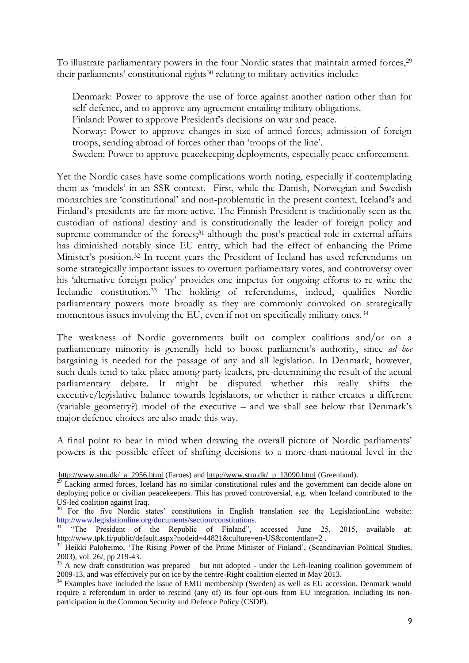To illustrate parliamentary powers in the four Nordic states that maintain armed forces,<sup>29</sup> their parliaments' constitutional rights<sup>30</sup> relating to military activities include:

Denmark: Power to approve the use of force against another nation other than for self-defence, and to approve any agreement entailing military obligations.

Finland: Power to approve President's decisions on war and peace.

- Norway: Power to approve changes in size of armed forces, admission of foreign troops, sending abroad of forces other than 'troops of the line'.
- Sweden: Power to approve peacekeeping deployments, especially peace enforcement.

Yet the Nordic cases have some complications worth noting, especially if contemplating them as 'models' in an SSR context. First, while the Danish, Norwegian and Swedish monarchies are 'constitutional' and non-problematic in the present context, Iceland's and Finland's presidents are far more active. The Finnish President is traditionally seen as the custodian of national destiny and is constitutionally the leader of foreign policy and supreme commander of the forces;<sup>31</sup> although the post's practical role in external affairs has diminished notably since EU entry, which had the effect of enhancing the Prime Minister's position.32 In recent years the President of Iceland has used referendums on some strategically important issues to overturn parliamentary votes, and controversy over his 'alternative foreign policy' provides one impetus for ongoing efforts to re-write the Icelandic constitution.33 The holding of referendums, indeed, qualifies Nordic parliamentary powers more broadly as they are commonly convoked on strategically momentous issues involving the EU, even if not on specifically military ones.<sup>34</sup>

The weakness of Nordic governments built on complex coalitions and/or on a parliamentary minority is generally held to boost parliament's authority, since *ad hoc* bargaining is needed for the passage of any and all legislation. In Denmark, however, such deals tend to take place among party leaders, pre-determining the result of the actual parliamentary debate. It might be disputed whether this really shifts the executive/legislative balance towards legislators, or whether it rather creates a different (variable geometry?) model of the executive – and we shall see below that Denmark's major defence choices are also made this way.

A final point to bear in mind when drawing the overall picture of Nordic parliaments' powers is the possible effect of shifting decisions to a more-than-national level in the

-

http://www.stm.dk/ a 2956.html (Faroes) and http://www.stm.dk/ p 13090.html (Greenland).

<sup>&</sup>lt;sup>29</sup> Lacking armed forces, Iceland has no similar constitutional rules and the government can decide alone on deploying police or civilian peacekeepers. This has proved controversial, e.g. when Iceland contributed to the US-led coalition against Iraq.

<sup>&</sup>lt;sup>30</sup> For the five Nordic states' constitutions in English translation see the LegislationLine website: [http://www.legislationline.org/documents/section/constitutions.](http://www.legislationline.org/documents/section/constitutions)

<sup>&</sup>lt;sup>31</sup> "The President of the Republic of Finland", accessed June 25, 2015, available at: <http://www.tpk.fi/public/default.aspx?nodeid=44821&culture=en-US&contentlan=2>.

 $\frac{32}{32}$  Heikki Paloheimo, 'The Rising Power of the Prime Minister of Finland', (Scandinavian Political Studies, 2003), vol. 26/, pp 219-43.

 $33$  A new draft constitution was prepared – but not adopted - under the Left-leaning coalition government of 2009-13, and was effectively put on ice by the centre-Right coalition elected in May 2013.

<sup>&</sup>lt;sup>34</sup> Examples have included the issue of EMU membership (Sweden) as well as EU accession. Denmark would require a referendum in order to rescind (any of) its four opt-outs from EU integration, including its nonparticipation in the Common Security and Defence Policy (CSDP).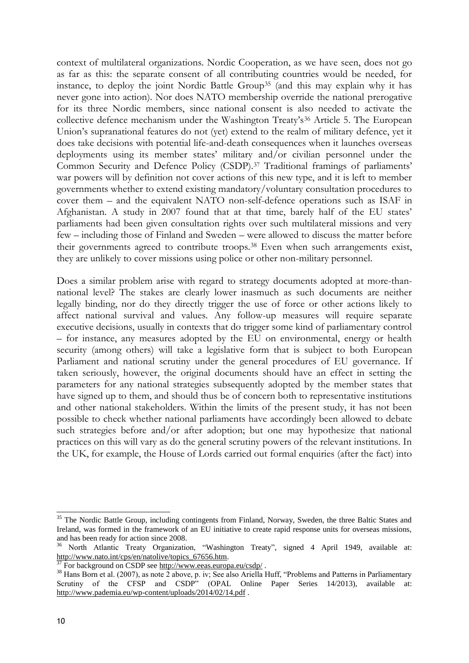context of multilateral organizations. Nordic Cooperation, as we have seen, does not go as far as this: the separate consent of all contributing countries would be needed, for instance, to deploy the joint Nordic Battle Group35 (and this may explain why it has never gone into action). Nor does NATO membership override the national prerogative for its three Nordic members, since national consent is also needed to activate the collective defence mechanism under the Washington Treaty's<sup>36</sup> Article 5. The European Union's supranational features do not (yet) extend to the realm of military defence, yet it does take decisions with potential life-and-death consequences when it launches overseas deployments using its member states' military and/or civilian personnel under the Common Security and Defence Policy (CSDP).37 Traditional framings of parliaments' war powers will by definition not cover actions of this new type, and it is left to member governments whether to extend existing mandatory/voluntary consultation procedures to cover them – and the equivalent NATO non-self-defence operations such as ISAF in Afghanistan. A study in 2007 found that at that time, barely half of the EU states' parliaments had been given consultation rights over such multilateral missions and very few – including those of Finland and Sweden – were allowed to discuss the matter before their governments agreed to contribute troops.38 Even when such arrangements exist, they are unlikely to cover missions using police or other non-military personnel.

Does a similar problem arise with regard to strategy documents adopted at more-thannational level? The stakes are clearly lower inasmuch as such documents are neither legally binding, nor do they directly trigger the use of force or other actions likely to affect national survival and values. Any follow-up measures will require separate executive decisions, usually in contexts that do trigger some kind of parliamentary control – for instance, any measures adopted by the EU on environmental, energy or health security (among others) will take a legislative form that is subject to both European Parliament and national scrutiny under the general procedures of EU governance. If taken seriously, however, the original documents should have an effect in setting the parameters for any national strategies subsequently adopted by the member states that have signed up to them, and should thus be of concern both to representative institutions and other national stakeholders. Within the limits of the present study, it has not been possible to check whether national parliaments have accordingly been allowed to debate such strategies before and/or after adoption; but one may hypothesize that national practices on this will vary as do the general scrutiny powers of the relevant institutions. In the UK, for example, the House of Lords carried out formal enquiries (after the fact) into

<sup>&</sup>lt;sup>35</sup> The Nordic Battle Group, including contingents from Finland, Norway, Sweden, the three Baltic States and Ireland, was formed in the framework of an EU initiative to create rapid response units for overseas missions, and has been ready for action since 2008.

<sup>36</sup> North Atlantic Treaty Organization, "Washington Treaty", signed 4 April 1949, available at: [http://www.nato.int/cps/en/natolive/topics\\_67656.htm.](http://www.nato.int/cps/en/natolive/topics_67656.htm) 

For background on CSDP see http://www.eeas.europa.eu/csdp/.

<sup>&</sup>lt;sup>38</sup> Hans Born et al. (2007), as note 2 above, p. iv; See also Ariella Huff, "Problems and Patterns in Parliamentary Scrutiny of the CFSP and CSDP" (OPAL Online Paper Series 14/2013), available at: <http://www.pademia.eu/wp-content/uploads/2014/02/14.pdf>.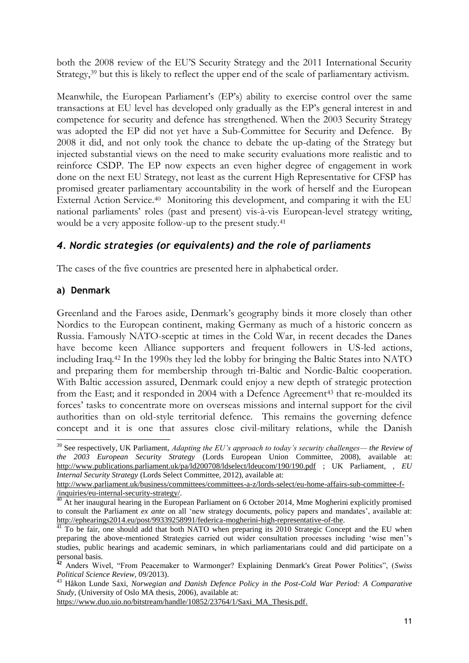both the 2008 review of the EU'S Security Strategy and the 2011 International Security Strategy,<sup>39</sup> but this is likely to reflect the upper end of the scale of parliamentary activism.

Meanwhile, the European Parliament's (EP's) ability to exercise control over the same transactions at EU level has developed only gradually as the EP's general interest in and competence for security and defence has strengthened. When the 2003 Security Strategy was adopted the EP did not yet have a Sub-Committee for Security and Defence. By 2008 it did, and not only took the chance to debate the up-dating of the Strategy but injected substantial views on the need to make security evaluations more realistic and to reinforce CSDP. The EP now expects an even higher degree of engagement in work done on the next EU Strategy, not least as the current High Representative for CFSP has promised greater parliamentary accountability in the work of herself and the European External Action Service.<sup>40</sup> Monitoring this development, and comparing it with the EU national parliaments' roles (past and present) vis-à-vis European-level strategy writing, would be a very apposite follow-up to the present study.<sup>41</sup>

# *4. Nordic strategies (or equivalents) and the role of parliaments*

The cases of the five countries are presented here in alphabetical order.

### **a) Denmark**

Greenland and the Faroes aside, Denmark's geography binds it more closely than other Nordics to the European continent, making Germany as much of a historic concern as Russia. Famously NATO-sceptic at times in the Cold War, in recent decades the Danes have become keen Alliance supporters and frequent followers in US-led actions, including Iraq.42 In the 1990s they led the lobby for bringing the Baltic States into NATO and preparing them for membership through tri-Baltic and Nordic-Baltic cooperation. With Baltic accession assured, Denmark could enjoy a new depth of strategic protection from the East; and it responded in 2004 with a Defence Agreement<sup>43</sup> that re-moulded its forces' tasks to concentrate more on overseas missions and internal support for the civil authorities than on old-style territorial defence. This remains the governing defence concept and it is one that assures close civil-military relations, while the Danish

[https://www.duo.uio.no/bitstream/handle/10852/23764/1/Saxi\\_MA\\_Thesis.pdf.](https://www.duo.uio.no/bitstream/handle/10852/23764/1/Saxi_MA_Thesis.pdf)

<sup>-</sup><sup>39</sup> See respectively, UK Parliament, *Adapting the EU's approach to today's security challenges— the Review of the 2003 European Security Strategy* (Lords European Union Committee, 2008), available at: <http://www.publications.parliament.uk/pa/ld200708/ldselect/ldeucom/190/190.pdf>; UK Parliament, , *EU Internal Security Strategy* (Lords Select Committee, 2012), available at:

[http://www.parliament.uk/business/committees/committees-a-z/lords-select/eu-home-affairs-sub-committee-f-](http://www.parliament.uk/business/committees/committees-a-z/lords-select/eu-home-affairs-sub-committee-f-/inquiries/eu-internal-security-strategy/) [/inquiries/eu-internal-security-strategy/.](http://www.parliament.uk/business/committees/committees-a-z/lords-select/eu-home-affairs-sub-committee-f-/inquiries/eu-internal-security-strategy/)

 $^{40}$  At her inaugural hearing in the European Parliament on 6 October 2014, Mme Mogherini explicitly promised to consult the Parliament *ex ante* on all 'new strategy documents, policy papers and mandates', available at: [http://ephearings2014.eu/post/99339258991/federica-mogherini-high-representative-of-the.](http://ephearings2014.eu/post/99339258991/federica-mogherini-high-representative-of-the)

<sup>&</sup>lt;sup>41</sup> To be fair, one should add that both NATO when preparing its 2010 Strategic Concept and the EU when preparing the above-mentioned Strategies carried out wider consultation processes including 'wise men''s studies, public hearings and academic seminars, in which parliamentarians could and did participate on a personal basis.

**<sup>42</sup>** Anders Wivel, "From Peacemaker to Warmonger? Explaining Denmark's Great Power Politics", (*Swiss Political Science Review,* 09/2013).

<sup>43</sup> Håkon Lunde Saxi, *Norwegian and Danish Defence Policy in the Post-Cold War Period: A Comparative Study*, (University of Oslo MA thesis, 2006), available at: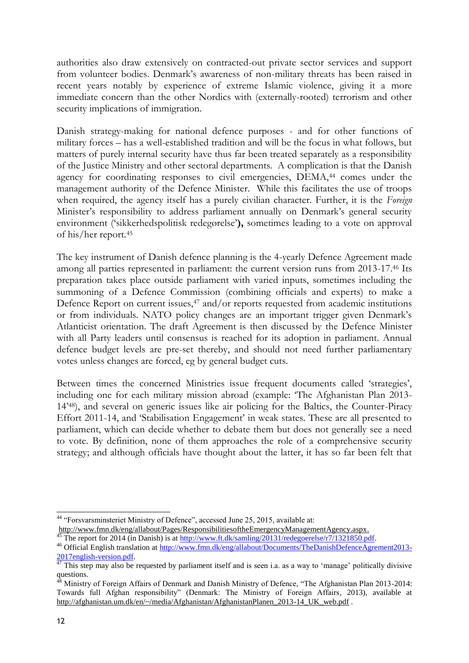authorities also draw extensively on contracted-out private sector services and support from volunteer bodies. Denmark's awareness of non-military threats has been raised in recent years notably by experience of extreme Islamic violence, giving it a more immediate concern than the other Nordics with (externally-rooted) terrorism and other security implications of immigration.

Danish strategy-making for national defence purposes - and for other functions of military forces – has a well-established tradition and will be the focus in what follows, but matters of purely internal security have thus far been treated separately as a responsibility of the Justice Ministry and other sectoral departments. A complication is that the Danish agency for coordinating responses to civil emergencies, DEMA,<sup>44</sup> comes under the management authority of the Defence Minister. While this facilitates the use of troops when required, the agency itself has a purely civilian character. Further, it is the *Foreign* Minister's responsibility to address parliament annually on Denmark's general security environment ('sikkerhedspolitisk redegørelse'**),** sometimes leading to a vote on approval of his/her report.<sup>45</sup>

The key instrument of Danish defence planning is the 4-yearly Defence Agreement made among all parties represented in parliament: the current version runs from 2013-17.46 Its preparation takes place outside parliament with varied inputs, sometimes including the summoning of a Defence Commission (combining officials and experts) to make a Defence Report on current issues, $47$  and/or reports requested from academic institutions or from individuals. NATO policy changes are an important trigger given Denmark's Atlanticist orientation. The draft Agreement is then discussed by the Defence Minister with all Party leaders until consensus is reached for its adoption in parliament. Annual defence budget levels are pre-set thereby, and should not need further parliamentary votes unless changes are forced, eg by general budget cuts.

Between times the concerned Ministries issue frequent documents called 'strategies', including one for each military mission abroad (example: 'The Afghanistan Plan 2013- 14'48), and several on generic issues like air policing for the Baltics, the Counter-Piracy Effort 2011-14, and 'Stabilisation Engagement' in weak states. These are all presented to parliament, which can decide whether to debate them but does not generally see a need to vote. By definition, none of them approaches the role of a comprehensive security strategy; and although officials have thought about the latter, it has so far been felt that

<sup>44</sup> "Forsvarsminsteriet Ministry of Defence", accessed June 25, 2015, available at: http://www.fmn.dk/eng/allabout/Pages/ResponsibilitiesoftheEmergencyManagementAgency.aspx.

The report for 2014 (in Danish) is at [http://www.ft.dk/samling/20131/redegoerelse/r7/1321850.pdf.](http://www.ft.dk/samling/20131/redegoerelse/r7/1321850.pdf)

<sup>46</sup> Official English translation at [http://www.fmn.dk/eng/allabout/Documents/TheDanishDefenceAgrement2013-](http://www.fmn.dk/eng/allabout/Documents/TheDanishDefenceAgrement2013-2017english-version.pdf) [2017english-version.pdf.](http://www.fmn.dk/eng/allabout/Documents/TheDanishDefenceAgrement2013-2017english-version.pdf)

 $47$  This step may also be requested by parliament itself and is seen i.a. as a way to 'manage' politically divisive questions.

<sup>&</sup>lt;sup>48</sup> Ministry of Foreign Affairs of Denmark and Danish Ministry of Defence, "The Afghanistan Plan 2013-2014: Towards full Afghan responsibility" (Denmark: The Ministry of Foreign Affairs, 2013), available at [http://afghanistan.um.dk/en/~/media/Afghanistan/AfghanistanPlanen\\_2013-14\\_UK\\_web.pdf](http://afghanistan.um.dk/en/~/media/Afghanistan/AfghanistanPlanen_2013-14_UK_web.pdf) .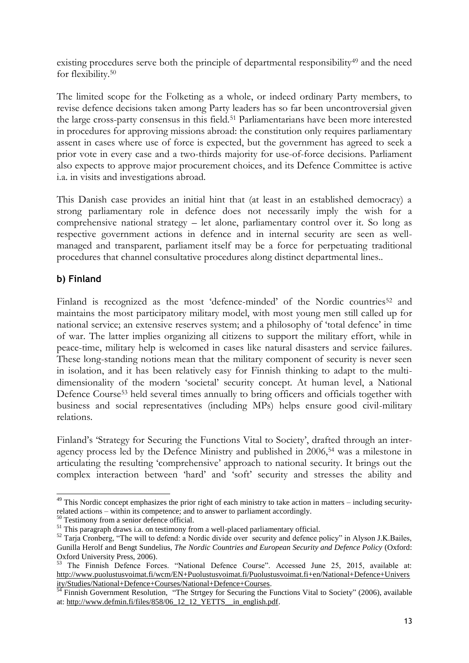existing procedures serve both the principle of departmental responsibility<sup>49</sup> and the need for flexibility.<sup>50</sup>

The limited scope for the Folketing as a whole, or indeed ordinary Party members, to revise defence decisions taken among Party leaders has so far been uncontroversial given the large cross-party consensus in this field.51 Parliamentarians have been more interested in procedures for approving missions abroad: the constitution only requires parliamentary assent in cases where use of force is expected, but the government has agreed to seek a prior vote in every case and a two-thirds majority for use-of-force decisions. Parliament also expects to approve major procurement choices, and its Defence Committee is active i.a. in visits and investigations abroad.

This Danish case provides an initial hint that (at least in an established democracy) a strong parliamentary role in defence does not necessarily imply the wish for a comprehensive national strategy – let alone, parliamentary control over it. So long as respective government actions in defence and in internal security are seen as wellmanaged and transparent, parliament itself may be a force for perpetuating traditional procedures that channel consultative procedures along distinct departmental lines..

## **b) Finland**

Finland is recognized as the most 'defence-minded' of the Nordic countries<sup>52</sup> and maintains the most participatory military model, with most young men still called up for national service; an extensive reserves system; and a philosophy of 'total defence' in time of war. The latter implies organizing all citizens to support the military effort, while in peace-time, military help is welcomed in cases like natural disasters and service failures. These long-standing notions mean that the military component of security is never seen in isolation, and it has been relatively easy for Finnish thinking to adapt to the multidimensionality of the modern 'societal' security concept. At human level, a National Defence Course<sup>53</sup> held several times annually to bring officers and officials together with business and social representatives (including MPs) helps ensure good civil-military relations.

Finland's 'Strategy for Securing the Functions Vital to Society', drafted through an interagency process led by the Defence Ministry and published in 2006,<sup>54</sup> was a milestone in articulating the resulting 'comprehensive' approach to national security. It brings out the complex interaction between 'hard' and 'soft' security and stresses the ability and

<sup>-</sup> $49$  This Nordic concept emphasizes the prior right of each ministry to take action in matters – including securityrelated actions – within its competence; and to answer to parliament accordingly.

<sup>&</sup>lt;sup>50</sup> Testimony from a senior defence official.

<sup>&</sup>lt;sup>51</sup> This paragraph draws i.a. on testimony from a well-placed parliamentary official.

<sup>&</sup>lt;sup>52</sup> Tarja Cronberg, "The will to defend: a Nordic divide over security and defence policy" in Alyson J.K.Bailes, Gunilla Herolf and Bengt Sundelius, *The Nordic Countries and European Security and Defence Policy* (Oxford: Oxford University Press, 2006).

<sup>&</sup>lt;sup>53</sup> The Finnish Defence Forces. "National Defence Course". Accessed June 25, 2015, available at: [http://www.puolustusvoimat.fi/wcm/EN+Puolustusvoimat.fi/Puolustusvoimat.fi+en/National+Defence+Univers](http://www.puolustusvoimat.fi/wcm/EN+Puolustusvoimat.fi/Puolustusvoimat.fi+en/National+Defence+University/Studies/National+Defence+Courses/National+Defence+Courses) [ity/Studies/National+Defence+Courses/National+Defence+Courses.](http://www.puolustusvoimat.fi/wcm/EN+Puolustusvoimat.fi/Puolustusvoimat.fi+en/National+Defence+University/Studies/National+Defence+Courses/National+Defence+Courses)

<sup>&</sup>lt;sup>4</sup> Finnish Government Resolution, "The Strtgey for Securing the Functions Vital to Society" (2006), available at: [http://www.defmin.fi/files/858/06\\_12\\_12\\_YETTS\\_\\_in\\_english.pdf.](http://www.defmin.fi/files/858/06_12_12_YETTS__in_english.pdf)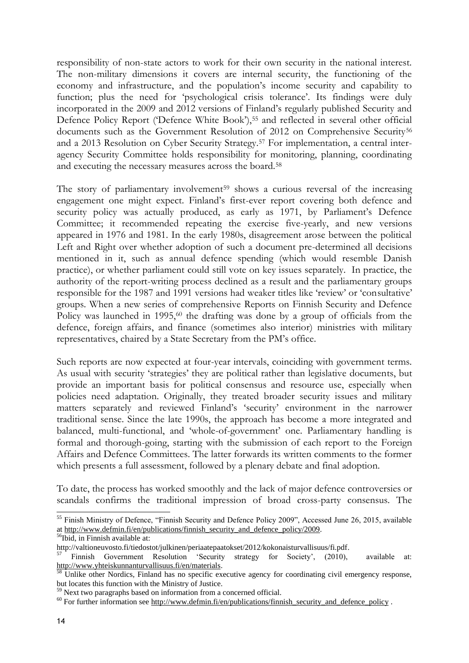responsibility of non-state actors to work for their own security in the national interest. The non-military dimensions it covers are internal security, the functioning of the economy and infrastructure, and the population's income security and capability to function; plus the need for 'psychological crisis tolerance'. Its findings were duly incorporated in the 2009 and 2012 versions of Finland's regularly published Security and Defence Policy Report ('Defence White Book'),<sup>55</sup> and reflected in several other official documents such as the Government Resolution of 2012 on Comprehensive Security<sup>56</sup> and a 2013 Resolution on Cyber Security Strategy.57 For implementation, a central interagency Security Committee holds responsibility for monitoring, planning, coordinating and executing the necessary measures across the board.<sup>58</sup>

The story of parliamentary involvement<sup>59</sup> shows a curious reversal of the increasing engagement one might expect. Finland's first-ever report covering both defence and security policy was actually produced, as early as 1971, by Parliament's Defence Committee; it recommended repeating the exercise five-yearly, and new versions appeared in 1976 and 1981. In the early 1980s, disagreement arose between the political Left and Right over whether adoption of such a document pre-determined all decisions mentioned in it, such as annual defence spending (which would resemble Danish practice), or whether parliament could still vote on key issues separately. In practice, the authority of the report-writing process declined as a result and the parliamentary groups responsible for the 1987 and 1991 versions had weaker titles like 'review' or 'consultative' groups. When a new series of comprehensive Reports on Finnish Security and Defence Policy was launched in 1995,<sup>60</sup> the drafting was done by a group of officials from the defence, foreign affairs, and finance (sometimes also interior) ministries with military representatives, chaired by a State Secretary from the PM's office.

Such reports are now expected at four-year intervals, coinciding with government terms. As usual with security 'strategies' they are political rather than legislative documents, but provide an important basis for political consensus and resource use, especially when policies need adaptation. Originally, they treated broader security issues and military matters separately and reviewed Finland's 'security' environment in the narrower traditional sense. Since the late 1990s, the approach has become a more integrated and balanced, multi-functional, and 'whole-of-government' one. Parliamentary handling is formal and thorough-going, starting with the submission of each report to the Foreign Affairs and Defence Committees. The latter forwards its written comments to the former which presents a full assessment, followed by a plenary debate and final adoption.

To date, the process has worked smoothly and the lack of major defence controversies or scandals confirms the traditional impression of broad cross-party consensus. The

<sup>&</sup>lt;sup>55</sup> Finish Ministry of Defence, "Finnish Security and Defence Policy 2009", Accessed June 26, 2015, available a[t http://www.defmin.fi/en/publications/finnish\\_security\\_and\\_defence\\_policy/2009.](http://www.defmin.fi/en/publications/finnish_security_and_defence_policy/2009)

<sup>56</sup>Ibid, in Finnish available at:

http://valtioneuvosto.fi/tiedostot/julkinen/periaatepaatokset/2012/kokonaisturvallisuus/fi.pdf.

Finnish Government Resolution 'Security strategy for Society', (2010), available at: [http://www.yhteiskunnanturvallisuus.fi/en/materials.](http://www.yhteiskunnanturvallisuus.fi/en/materials)

<sup>&</sup>lt;sup>58</sup> Unlike other Nordics, Finland has no specific executive agency for coordinating civil emergency response, but locates this function with the Ministry of Justice.

<sup>59</sup> Next two paragraphs based on information from a concerned official.

 $60$  For further information see [http://www.defmin.fi/en/publications/finnish\\_security\\_and\\_defence\\_policy](http://www.defmin.fi/en/publications/finnish_security_and_defence_policy) .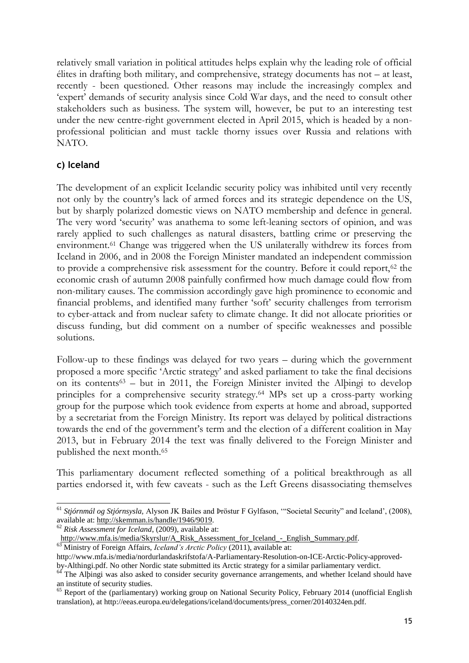relatively small variation in political attitudes helps explain why the leading role of official élites in drafting both military, and comprehensive, strategy documents has not – at least, recently - been questioned. Other reasons may include the increasingly complex and 'expert' demands of security analysis since Cold War days, and the need to consult other stakeholders such as business. The system will, however, be put to an interesting test under the new centre-right government elected in April 2015, which is headed by a nonprofessional politician and must tackle thorny issues over Russia and relations with NATO.

## **c) Iceland**

The development of an explicit Icelandic security policy was inhibited until very recently not only by the country's lack of armed forces and its strategic dependence on the US, but by sharply polarized domestic views on NATO membership and defence in general. The very word 'security' was anathema to some left-leaning sectors of opinion, and was rarely applied to such challenges as natural disasters, battling crime or preserving the environment.61 Change was triggered when the US unilaterally withdrew its forces from Iceland in 2006, and in 2008 the Foreign Minister mandated an independent commission to provide a comprehensive risk assessment for the country. Before it could report,62 the economic crash of autumn 2008 painfully confirmed how much damage could flow from non-military causes. The commission accordingly gave high prominence to economic and financial problems, and identified many further 'soft' security challenges from terrorism to cyber-attack and from nuclear safety to climate change. It did not allocate priorities or discuss funding, but did comment on a number of specific weaknesses and possible solutions.

Follow-up to these findings was delayed for two years – during which the government proposed a more specific 'Arctic strategy' and asked parliament to take the final decisions on its contents<sup>63</sup> – but in 2011, the Foreign Minister invited the Alþingi to develop principles for a comprehensive security strategy.64 MPs set up a cross-party working group for the purpose which took evidence from experts at home and abroad, supported by a secretariat from the Foreign Ministry. Its report was delayed by political distractions towards the end of the government's term and the election of a different coalition in May 2013, but in February 2014 the text was finally delivered to the Foreign Minister and published the next month.<sup>65</sup>

This parliamentary document reflected something of a political breakthrough as all parties endorsed it, with few caveats - such as the Left Greens disassociating themselves

<sup>1</sup> <sup>61</sup> *Stjórnmál og Stjórnsysla,* Alyson JK Bailes and Þröstur F Gylfason, '"Societal Security" and Iceland', (2008), available at:<http://skemman.is/handle/1946/9019>*.*

<sup>62</sup> *Risk Assessment for Iceland*, (2009), available at:

[http://www.mfa.is/media/Skyrslur/A\\_Risk\\_Assessment\\_for\\_Iceland\\_-\\_English\\_Summary.pdf.](http://www.mfa.is/media/Skyrslur/A_Risk_Assessment_for_Iceland_-_English_Summary.pdf)

<sup>63</sup> Ministry of Foreign Affairs, *Iceland's Arctic Policy* (2011), available at:

http://www.mfa.is/media/nordurlandaskrifstofa/A-Parliamentary-Resolution-on-ICE-Arctic-Policy-approved-

by-Althingi.pdf. No other Nordic state submitted its Arctic strategy for a similar parliamentary verdict.

<sup>&</sup>lt;sup>64</sup> The Alþingi was also asked to consider security governance arrangements, and whether Iceland should have an institute of security studies.

<sup>&</sup>lt;sup>65</sup> Report of the (parliamentary) working group on National Security Policy, February 2014 (unofficial English translation), at http://eeas.europa.eu/delegations/iceland/documents/press\_corner/20140324en.pdf.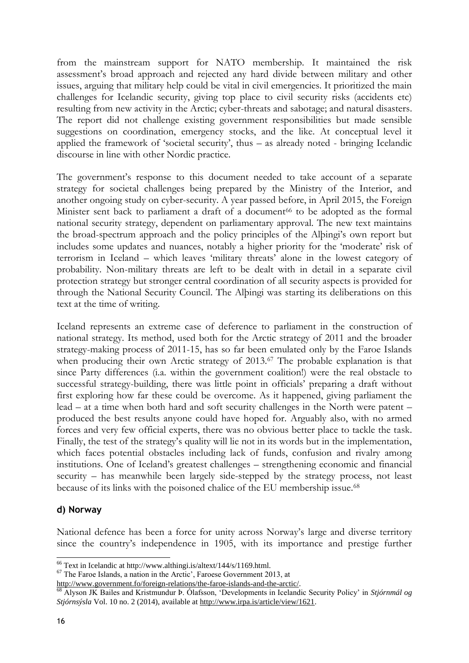from the mainstream support for NATO membership. It maintained the risk assessment's broad approach and rejected any hard divide between military and other issues, arguing that military help could be vital in civil emergencies. It prioritized the main challenges for Icelandic security, giving top place to civil security risks (accidents etc) resulting from new activity in the Arctic; cyber-threats and sabotage; and natural disasters. The report did not challenge existing government responsibilities but made sensible suggestions on coordination, emergency stocks, and the like. At conceptual level it applied the framework of 'societal security', thus – as already noted - bringing Icelandic discourse in line with other Nordic practice.

The government's response to this document needed to take account of a separate strategy for societal challenges being prepared by the Ministry of the Interior, and another ongoing study on cyber-security. A year passed before, in April 2015, the Foreign Minister sent back to parliament a draft of a document<sup>66</sup> to be adopted as the formal national security strategy, dependent on parliamentary approval. The new text maintains the broad-spectrum approach and the policy principles of the Alþingi's own report but includes some updates and nuances, notably a higher priority for the 'moderate' risk of terrorism in Iceland – which leaves 'military threats' alone in the lowest category of probability. Non-military threats are left to be dealt with in detail in a separate civil protection strategy but stronger central coordination of all security aspects is provided for through the National Security Council. The Alþingi was starting its deliberations on this text at the time of writing.

Iceland represents an extreme case of deference to parliament in the construction of national strategy. Its method, used both for the Arctic strategy of 2011 and the broader strategy-making process of 2011-15, has so far been emulated only by the Faroe Islands when producing their own Arctic strategy of 2013.<sup>67</sup> The probable explanation is that since Party differences (i.a. within the government coalition!) were the real obstacle to successful strategy-building, there was little point in officials' preparing a draft without first exploring how far these could be overcome. As it happened, giving parliament the lead – at a time when both hard and soft security challenges in the North were patent – produced the best results anyone could have hoped for. Arguably also, with no armed forces and very few official experts, there was no obvious better place to tackle the task. Finally, the test of the strategy's quality will lie not in its words but in the implementation, which faces potential obstacles including lack of funds, confusion and rivalry among institutions. One of Iceland's greatest challenges – strengthening economic and financial security – has meanwhile been largely side-stepped by the strategy process, not least because of its links with the poisoned chalice of the EU membership issue.<sup>68</sup>

#### **d) Norway**

National defence has been a force for unity across Norway's large and diverse territory since the country's independence in 1905, with its importance and prestige further

[http://www.government.fo/foreign-relations/the-faroe-islands-and-the-arctic/.](http://www.government.fo/foreign-relations/the-faroe-islands-and-the-arctic/)

<sup>66</sup> Text in Icelandic at http://www.althingi.is/altext/144/s/1169.html.

<sup>67</sup> The Faroe Islands, a nation in the Arctic', Faroese Government 2013, at

<sup>68</sup> Alyson JK Bailes and Kristmundur Þ. Ólafsson, 'Developments in Icelandic Security Policy' in *Stjórnmál og Stjórnsýsla* Vol. 10 no. 2 (2014), available at [http://www.irpa.is/article/view/1621.](http://www.irpa.is/article/view/1621)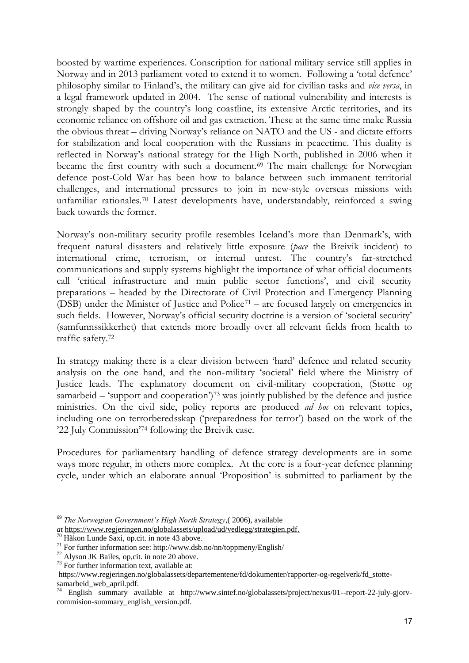boosted by wartime experiences. Conscription for national military service still applies in Norway and in 2013 parliament voted to extend it to women. Following a 'total defence' philosophy similar to Finland's, the military can give aid for civilian tasks and *vice versa*, in a legal framework updated in 2004. The sense of national vulnerability and interests is strongly shaped by the country's long coastline, its extensive Arctic territories, and its economic reliance on offshore oil and gas extraction. These at the same time make Russia the obvious threat – driving Norway's reliance on NATO and the US - and dictate efforts for stabilization and local cooperation with the Russians in peacetime. This duality is reflected in Norway's national strategy for the High North, published in 2006 when it became the first country with such a document.<sup>69</sup> The main challenge for Norwegian defence post-Cold War has been how to balance between such immanent territorial challenges, and international pressures to join in new-style overseas missions with unfamiliar rationales.70 Latest developments have, understandably, reinforced a swing back towards the former.

Norway's non-military security profile resembles Iceland's more than Denmark's, with frequent natural disasters and relatively little exposure (*pace* the Breivik incident) to international crime, terrorism, or internal unrest. The country's far-stretched communications and supply systems highlight the importance of what official documents call 'critical infrastructure and main public sector functions', and civil security preparations – headed by the Directorate of Civil Protection and Emergency Planning (DSB) under the Minister of Justice and Police<sup>71</sup> – are focused largely on emergencies in such fields. However, Norway's official security doctrine is a version of 'societal security' (samfunnssikkerhet) that extends more broadly over all relevant fields from health to traffic safety.<sup>72</sup>

In strategy making there is a clear division between 'hard' defence and related security analysis on the one hand, and the non-military 'societal' field where the Ministry of Justice leads. The explanatory document on civil-military cooperation, (Støtte og samarbeid – 'support and cooperation')<sup>73</sup> was jointly published by the defence and justice ministries. On the civil side, policy reports are produced *ad hoc* on relevant topics, including one on terrorberedsskap ('preparedness for terror') based on the work of the '22 July Commission'<sup>74</sup> following the Breivik case.

Procedures for parliamentary handling of defence strategy developments are in some ways more regular, in others more complex. At the core is a four-year defence planning cycle, under which an elaborate annual 'Proposition' is submitted to parliament by the

<sup>69</sup> *The Norwegian Government's High North Strategy*,( 2006), available

*at* [https://www.regjeringen.no/globalassets/upload/ud/vedlegg/strategien.pdf.](https://www.regjeringen.no/globalassets/upload/ud/vedlegg/strategien.pdf)

<sup>70</sup> Håkon Lunde Saxi, op.cit. in note 43 above.

 $^{71}$  For further information see: http://www.dsb.no/nn/toppmeny/English/

<sup>72</sup> Alyson JK Bailes, op,cit. in note 20 above.

<sup>73</sup> For further information text, available at:

https://www.regjeringen.no/globalassets/departementene/fd/dokumenter/rapporter-og-regelverk/fd\_stottesamarbeid web april.pdf.

 $\overline{74}$  English summary available at http://www.sintef.no/globalassets/project/nexus/01--report-22-july-gjorvcommision-summary\_english\_version.pdf.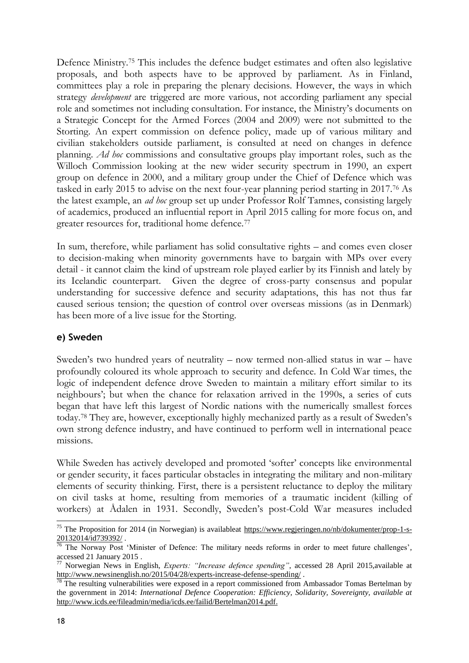Defence Ministry.75 This includes the defence budget estimates and often also legislative proposals, and both aspects have to be approved by parliament. As in Finland, committees play a role in preparing the plenary decisions. However, the ways in which strategy *development* are triggered are more various, not according parliament any special role and sometimes not including consultation. For instance, the Ministry's documents on a Strategic Concept for the Armed Forces (2004 and 2009) were not submitted to the Storting. An expert commission on defence policy, made up of various military and civilian stakeholders outside parliament, is consulted at need on changes in defence planning. *Ad hoc* commissions and consultative groups play important roles, such as the Willoch Commission looking at the new wider security spectrum in 1990, an expert group on defence in 2000, and a military group under the Chief of Defence which was tasked in early 2015 to advise on the next four-year planning period starting in 2017.76 As the latest example, an *ad hoc* group set up under Professor Rolf Tamnes, consisting largely of academics, produced an influential report in April 2015 calling for more focus on, and greater resources for, traditional home defence.<sup>77</sup>

In sum, therefore, while parliament has solid consultative rights – and comes even closer to decision-making when minority governments have to bargain with MPs over every detail - it cannot claim the kind of upstream role played earlier by its Finnish and lately by its Icelandic counterpart. Given the degree of cross-party consensus and popular understanding for successive defence and security adaptations, this has not thus far caused serious tension; the question of control over overseas missions (as in Denmark) has been more of a live issue for the Storting.

### **e) Sweden**

Sweden's two hundred years of neutrality – now termed non-allied status in war – have profoundly coloured its whole approach to security and defence. In Cold War times, the logic of independent defence drove Sweden to maintain a military effort similar to its neighbours'; but when the chance for relaxation arrived in the 1990s, a series of cuts began that have left this largest of Nordic nations with the numerically smallest forces today.<sup>78</sup> They are, however, exceptionally highly mechanized partly as a result of Sweden's own strong defence industry, and have continued to perform well in international peace missions.

While Sweden has actively developed and promoted 'softer' concepts like environmental or gender security, it faces particular obstacles in integrating the military and non-military elements of security thinking. First, there is a persistent reluctance to deploy the military on civil tasks at home, resulting from memories of a traumatic incident (killing of workers) at Ådalen in 1931. Secondly, Sweden's post-Cold War measures included

<sup>1</sup> <sup>75</sup> The Proposition for 2014 (in Norwegian) is availableat [https://www.regjeringen.no/nb/dokumenter/prop-1-s-](https://www.regjeringen.no/nb/dokumenter/prop-1-s-20132014/id739392/)[20132014/id739392/ .](https://www.regjeringen.no/nb/dokumenter/prop-1-s-20132014/id739392/)

 $76$  The Norway Post 'Minister of Defence: The military needs reforms in order to meet future challenges', accessed 21 January 2015 .

<sup>77</sup> Norwegian News in English, *Experts: "Increase defence spending"*, accessed 28 April 2015,available at <http://www.newsinenglish.no/2015/04/28/experts-increase-defense-spending/>.

The resulting vulnerabilities were exposed in a report commissioned from Ambassador Tomas Bertelman by the government in 2014: *International Defence Cooperation: Efficiency, Solidarity, Sovereignty, available at*  [http://www.icds.ee/fileadmin/media/icds.ee/failid/Bertelman2014.pdf.](http://www.icds.ee/fileadmin/media/icds.ee/failid/Bertelman2014.pdf)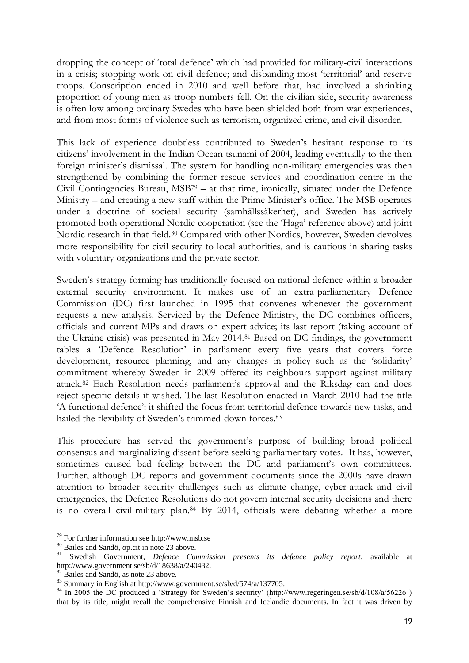dropping the concept of 'total defence' which had provided for military-civil interactions in a crisis; stopping work on civil defence; and disbanding most 'territorial' and reserve troops. Conscription ended in 2010 and well before that, had involved a shrinking proportion of young men as troop numbers fell. On the civilian side, security awareness is often low among ordinary Swedes who have been shielded both from war experiences, and from most forms of violence such as terrorism, organized crime, and civil disorder.

This lack of experience doubtless contributed to Sweden's hesitant response to its citizens' involvement in the Indian Ocean tsunami of 2004, leading eventually to the then foreign minister's dismissal. The system for handling non-military emergencies was then strengthened by combining the former rescue services and coordination centre in the Civil Contingencies Bureau,  $MSB<sup>79</sup> - at that time, ironically, situated under the Defense$ Ministry – and creating a new staff within the Prime Minister's office. The MSB operates under a doctrine of societal security (samhällssäkerhet), and Sweden has actively promoted both operational Nordic cooperation (see the 'Haga' reference above) and joint Nordic research in that field.80 Compared with other Nordics, however, Sweden devolves more responsibility for civil security to local authorities, and is cautious in sharing tasks with voluntary organizations and the private sector.

Sweden's strategy forming has traditionally focused on national defence within a broader external security environment. It makes use of an extra-parliamentary Defence Commission (DC) first launched in 1995 that convenes whenever the government requests a new analysis. Serviced by the Defence Ministry, the DC combines officers, officials and current MPs and draws on expert advice; its last report (taking account of the Ukraine crisis) was presented in May 2014.81 Based on DC findings, the government tables a 'Defence Resolution' in parliament every five years that covers force development, resource planning, and any changes in policy such as the 'solidarity' commitment whereby Sweden in 2009 offered its neighbours support against military attack.<sup>82</sup> Each Resolution needs parliament's approval and the Riksdag can and does reject specific details if wished. The last Resolution enacted in March 2010 had the title 'A functional defence': it shifted the focus from territorial defence towards new tasks, and hailed the flexibility of Sweden's trimmed-down forces.<sup>83</sup>

This procedure has served the government's purpose of building broad political consensus and marginalizing dissent before seeking parliamentary votes. It has, however, sometimes caused bad feeling between the DC and parliament's own committees. Further, although DC reports and government documents since the 2000s have drawn attention to broader security challenges such as climate change, cyber-attack and civil emergencies, the Defence Resolutions do not govern internal security decisions and there is no overall civil-military plan.84 By 2014, officials were debating whether a more

 $79$  For further information see http://www.msb.se

<sup>80</sup> Bailes and Sandö, op.cit in note 23 above.

<sup>81</sup> Swedish Government, *Defence Commission presents its defence policy report*, available at http://www.government.se/sb/d/18638/a/240432.

<sup>&</sup>lt;sup>82</sup> Bailes and Sandö, as note 23 above.

<sup>83</sup> Summary in English at http://www.government.se/sb/d/574/a/137705.

<sup>&</sup>lt;sup>84</sup> In 2005 the DC produced a 'Strategy for Sweden's security' (http://www.regeringen.se/sb/d/108/a/56226) that by its title, might recall the comprehensive Finnish and Icelandic documents. In fact it was driven by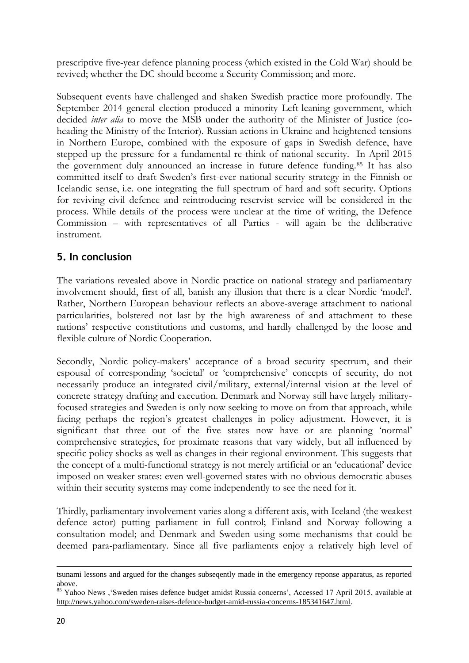prescriptive five-year defence planning process (which existed in the Cold War) should be revived; whether the DC should become a Security Commission; and more.

Subsequent events have challenged and shaken Swedish practice more profoundly. The September 2014 general election produced a minority Left-leaning government, which decided *inter alia* to move the MSB under the authority of the Minister of Justice (coheading the Ministry of the Interior). Russian actions in Ukraine and heightened tensions in Northern Europe, combined with the exposure of gaps in Swedish defence, have stepped up the pressure for a fundamental re-think of national security. In April 2015 the government duly announced an increase in future defence funding.85 It has also committed itself to draft Sweden's first-ever national security strategy in the Finnish or Icelandic sense, i.e. one integrating the full spectrum of hard and soft security. Options for reviving civil defence and reintroducing reservist service will be considered in the process. While details of the process were unclear at the time of writing, the Defence Commission – with representatives of all Parties - will again be the deliberative instrument.

## **5. In conclusion**

The variations revealed above in Nordic practice on national strategy and parliamentary involvement should, first of all, banish any illusion that there is a clear Nordic 'model'. Rather, Northern European behaviour reflects an above-average attachment to national particularities, bolstered not last by the high awareness of and attachment to these nations' respective constitutions and customs, and hardly challenged by the loose and flexible culture of Nordic Cooperation.

Secondly, Nordic policy-makers' acceptance of a broad security spectrum, and their espousal of corresponding 'societal' or 'comprehensive' concepts of security, do not necessarily produce an integrated civil/military, external/internal vision at the level of concrete strategy drafting and execution. Denmark and Norway still have largely militaryfocused strategies and Sweden is only now seeking to move on from that approach, while facing perhaps the region's greatest challenges in policy adjustment. However, it is significant that three out of the five states now have or are planning 'normal' comprehensive strategies, for proximate reasons that vary widely, but all influenced by specific policy shocks as well as changes in their regional environment. This suggests that the concept of a multi-functional strategy is not merely artificial or an 'educational' device imposed on weaker states: even well-governed states with no obvious democratic abuses within their security systems may come independently to see the need for it.

Thirdly, parliamentary involvement varies along a different axis, with Iceland (the weakest defence actor) putting parliament in full control; Finland and Norway following a consultation model; and Denmark and Sweden using some mechanisms that could be deemed para-parliamentary. Since all five parliaments enjoy a relatively high level of

-

tsunami lessons and argued for the changes subseqently made in the emergency reponse apparatus, as reported above.

<sup>&</sup>lt;sup>85</sup> Yahoo News , 'Sweden raises defence budget amidst Russia concerns', Accessed 17 April 2015, available at [http://news.yahoo.com/sweden-raises-defence-budget-amid-russia-concerns-185341647.html.](http://news.yahoo.com/sweden-raises-defence-budget-amid-russia-concerns-185341647.html)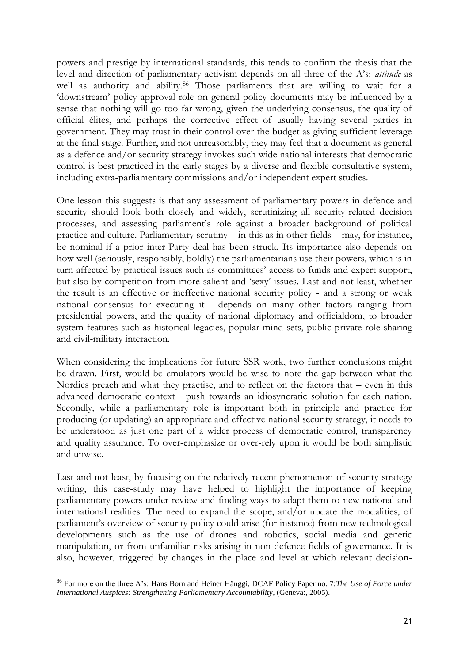powers and prestige by international standards, this tends to confirm the thesis that the level and direction of parliamentary activism depends on all three of the A's: *attitude* as well as authority and ability.<sup>86</sup> Those parliaments that are willing to wait for a 'downstream' policy approval role on general policy documents may be influenced by a sense that nothing will go too far wrong, given the underlying consensus, the quality of official élites, and perhaps the corrective effect of usually having several parties in government. They may trust in their control over the budget as giving sufficient leverage at the final stage. Further, and not unreasonably, they may feel that a document as general as a defence and/or security strategy invokes such wide national interests that democratic control is best practiced in the early stages by a diverse and flexible consultative system, including extra-parliamentary commissions and/or independent expert studies.

One lesson this suggests is that any assessment of parliamentary powers in defence and security should look both closely and widely, scrutinizing all security-related decision processes, and assessing parliament's role against a broader background of political practice and culture. Parliamentary scrutiny – in this as in other fields – may, for instance, be nominal if a prior inter-Party deal has been struck. Its importance also depends on how well (seriously, responsibly, boldly) the parliamentarians use their powers, which is in turn affected by practical issues such as committees' access to funds and expert support, but also by competition from more salient and 'sexy' issues. Last and not least, whether the result is an effective or ineffective national security policy - and a strong or weak national consensus for executing it - depends on many other factors ranging from presidential powers, and the quality of national diplomacy and officialdom, to broader system features such as historical legacies, popular mind-sets, public-private role-sharing and civil-military interaction.

When considering the implications for future SSR work, two further conclusions might be drawn. First, would-be emulators would be wise to note the gap between what the Nordics preach and what they practise, and to reflect on the factors that – even in this advanced democratic context - push towards an idiosyncratic solution for each nation. Secondly, while a parliamentary role is important both in principle and practice for producing (or updating) an appropriate and effective national security strategy, it needs to be understood as just one part of a wider process of democratic control, transparency and quality assurance. To over-emphasize or over-rely upon it would be both simplistic and unwise.

Last and not least, by focusing on the relatively recent phenomenon of security strategy writing, this case-study may have helped to highlight the importance of keeping parliamentary powers under review and finding ways to adapt them to new national and international realities. The need to expand the scope, and/or update the modalities, of parliament's overview of security policy could arise (for instance) from new technological developments such as the use of drones and robotics, social media and genetic manipulation, or from unfamiliar risks arising in non-defence fields of governance. It is also, however, triggered by changes in the place and level at which relevant decision-

<sup>86</sup> For more on the three A's: Hans Born and Heiner Hänggi, DCAF Policy Paper no. 7:*The Use of Force under International Auspices: Strengthening Parliamentary Accountability*, (Geneva:, 2005).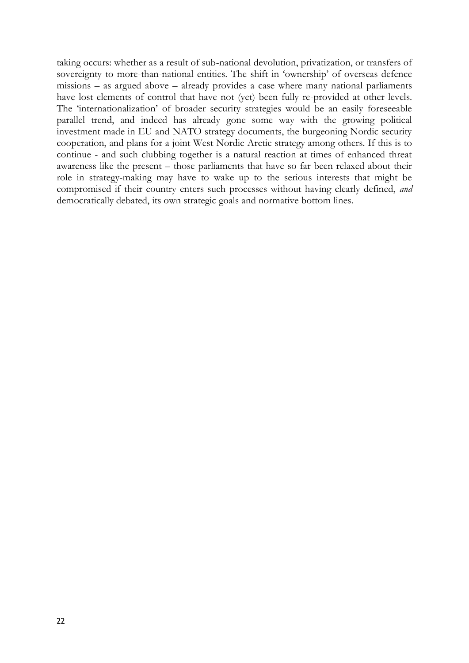taking occurs: whether as a result of sub-national devolution, privatization, or transfers of sovereignty to more-than-national entities. The shift in 'ownership' of overseas defence missions – as argued above – already provides a case where many national parliaments have lost elements of control that have not (yet) been fully re-provided at other levels. The 'internationalization' of broader security strategies would be an easily foreseeable parallel trend, and indeed has already gone some way with the growing political investment made in EU and NATO strategy documents, the burgeoning Nordic security cooperation, and plans for a joint West Nordic Arctic strategy among others. If this is to continue - and such clubbing together is a natural reaction at times of enhanced threat awareness like the present – those parliaments that have so far been relaxed about their role in strategy-making may have to wake up to the serious interests that might be compromised if their country enters such processes without having clearly defined, *and*  democratically debated, its own strategic goals and normative bottom lines.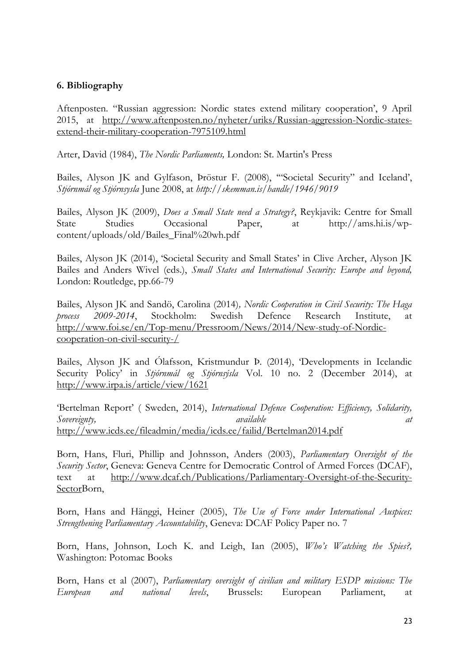#### **6. Bibliography**

Aftenposten. "Russian aggression: Nordic states extend military cooperation', 9 April 2015, at [http://www.aftenposten.no/nyheter/uriks/Russian-aggression-Nordic-states](http://www.aftenposten.no/nyheter/uriks/Russian-aggression-Nordic-states-extend-their-military-cooperation-7975109.html)[extend-their-military-cooperation-7975109.html](http://www.aftenposten.no/nyheter/uriks/Russian-aggression-Nordic-states-extend-their-military-cooperation-7975109.html)

Arter, David (1984), *The Nordic Parliaments,* London: St. Martin's Press

Bailes, Alyson JK and Gylfason, Þröstur F. (2008), '"Societal Security" and Iceland', *Stjórnmál og Stjórnsysla* June 2008, at *http://skemman.is/handle/1946/9019*

Bailes, Alyson JK (2009), *Does a Small State need a Strategy?*, Reykjavik: Centre for Small State Studies Occasional Paper, at http://ams.hi.is/wpcontent/uploads/old/Bailes\_Final%20wh.pdf

Bailes, Alyson JK (2014), 'Societal Security and Small States' in Clive Archer, Alyson JK Bailes and Anders Wivel (eds.), *Small States and International Security: Europe and beyond,* London: Routledge, pp.66-79

Bailes, Alyson JK and Sandö, Carolina (2014)*, Nordic Cooperation in Civil Security: The Haga process 2009-2014*, Stockholm: Swedish Defence Research Institute, at [http://www.foi.se/en/Top-menu/Pressroom/News/2014/New-study-of-Nordic](http://www.foi.se/en/Top-menu/Pressroom/News/2014/New-study-of-Nordic-cooperation-on-civil-security-/)[cooperation-on-civil-security-/](http://www.foi.se/en/Top-menu/Pressroom/News/2014/New-study-of-Nordic-cooperation-on-civil-security-/)

Bailes, Alyson JK and Ólafsson, Kristmundur Þ. (2014), 'Developments in Icelandic Security Policy' in *Stjórnmál og Stjórnsýsla* Vol. 10 no. 2 (December 2014), at <http://www.irpa.is/article/view/1621>

'Bertelman Report' ( Sweden, 2014), *International Defence Cooperation: Efficiency, Solidarity, Sovereignty, available at*  <http://www.icds.ee/fileadmin/media/icds.ee/failid/Bertelman2014.pdf>

Born, Hans, Fluri, Phillip and Johnsson, Anders (2003), *Parliamentary Oversight of the Security Sector*, Geneva: Geneva Centre for Democratic Control of Armed Forces (DCAF), text at [http://www.dcaf.ch/Publications/Parliamentary-Oversight-of-the-Security-](http://www.dcaf.ch/Publications/Parliamentary-Oversight-of-the-Security-Sector)[SectorB](http://www.dcaf.ch/Publications/Parliamentary-Oversight-of-the-Security-Sector)orn,

Born, Hans and Hänggi, Heiner (2005), *The Use of Force under International Auspices: Strengthening Parliamentary Accountability*, Geneva: DCAF Policy Paper no. 7

Born, Hans, Johnson, Loch K. and Leigh, Ian (2005), *Who's Watching the Spies?,* Washington: Potomac Books

Born, Hans et al (2007), *Parliamentary oversight of civilian and military ESDP missions: The European and national levels*, Brussels: European Parliament, at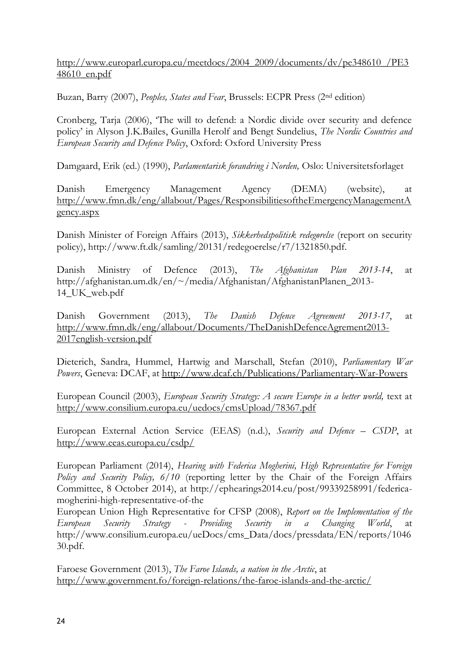[http://www.europarl.europa.eu/meetdocs/2004\\_2009/documents/dv/pe348610\\_/PE3](http://www.europarl.europa.eu/meetdocs/2004_2009/documents/dv/pe348610_/PE348610_en.pdf) [48610\\_en.pdf](http://www.europarl.europa.eu/meetdocs/2004_2009/documents/dv/pe348610_/PE348610_en.pdf)

Buzan, Barry (2007), *Peoples, States and Fear*, Brussels: ECPR Press (2nd edition)

Cronberg, Tarja (2006), 'The will to defend: a Nordic divide over security and defence policy' in Alyson J.K.Bailes, Gunilla Herolf and Bengt Sundelius, *The Nordic Countries and European Security and Defence Policy*, Oxford: Oxford University Press

Damgaard, Erik (ed.) (1990), *Parlamentarisk forandring i Norden,* Oslo: Universitetsforlaget

Danish Emergency Management Agency (DEMA) (website), at [http://www.fmn.dk/eng/allabout/Pages/ResponsibilitiesoftheEmergencyManagementA](http://www.fmn.dk/eng/allabout/Pages/ResponsibilitiesoftheEmergencyManagementAgency.aspx) [gency.aspx](http://www.fmn.dk/eng/allabout/Pages/ResponsibilitiesoftheEmergencyManagementAgency.aspx)

Danish Minister of Foreign Affairs (2013), *Sikkerhedspolitisk redegørelse* (report on security policy), http://www.ft.dk/samling/20131/redegoerelse/r7/1321850.pdf.

Danish Ministry of Defence (2013), *The Afghanistan Plan 2013-14*, at http://afghanistan.um.dk/en/~/media/Afghanistan/AfghanistanPlanen\_2013- 14\_UK\_web.pdf

Danish Government (2013), *The Danish Defence Agreement 2013-17*, at [http://www.fmn.dk/eng/allabout/Documents/TheDanishDefenceAgrement2013-](http://www.fmn.dk/eng/allabout/Documents/TheDanishDefenceAgrement2013-2017english-version.pdf) [2017english-version.pdf](http://www.fmn.dk/eng/allabout/Documents/TheDanishDefenceAgrement2013-2017english-version.pdf)

Dieterich, Sandra, Hummel, Hartwig and Marschall, Stefan (2010), *Parliamentary War Powers*, Geneva: DCAF, at<http://www.dcaf.ch/Publications/Parliamentary-War-Powers>

European Council (2003), *European Security Strategy: A secure Europe in a better world,* text at <http://www.consilium.europa.eu/uedocs/cmsUpload/78367.pdf>

European External Action Service (EEAS) (n.d.), *Security and Defence – CSDP*, at <http://www.eeas.europa.eu/csdp/>

European Parliament (2014), *Hearing with Federica Mogherini, High Representative for Foreign Policy and Security Policy, 6/10* (reporting letter by the Chair of the Foreign Affairs Committee, 8 October 2014), at http://ephearings2014.eu/post/99339258991/federicamogherini-high-representative-of-the

European Union High Representative for CFSP (2008), *Report on the Implementation of the European Security Strategy - Providing Security in a Changing World*, at http://www.consilium.europa.eu/ueDocs/cms\_Data/docs/pressdata/EN/reports/1046 30.pdf.

Faroese Government (2013), *The Faroe Islands, a nation in the Arctic*, at <http://www.government.fo/foreign-relations/the-faroe-islands-and-the-arctic/>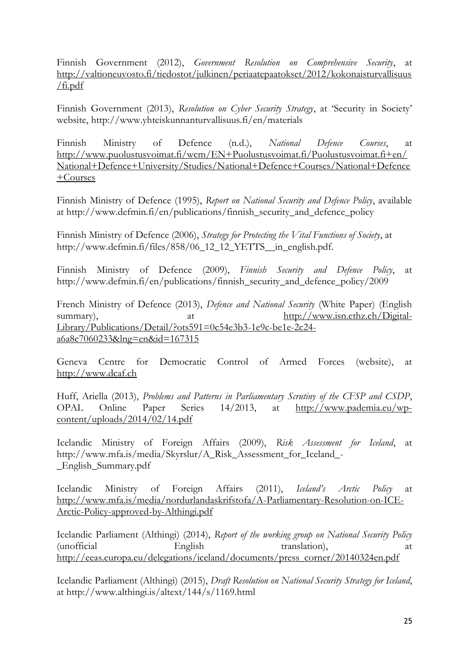Finnish Government (2012), *Government Resolution on Comprehensive Security*, at [http://valtioneuvosto.fi/tiedostot/julkinen/periaatepaatokset/2012/kokonaisturvallisuus](http://valtioneuvosto.fi/tiedostot/julkinen/periaatepaatokset/2012/kokonaisturvallisuus/fi.pdf)  $/$ fi.pdf

Finnish Government (2013), *Resolution on Cyber Security Strategy*, at 'Security in Society' website, http://www.yhteiskunnanturvallisuus.fi/en/materials

Finnish Ministry of Defence (n.d.), *National Defence Courses*, at [http://www.puolustusvoimat.fi/wcm/EN+Puolustusvoimat.fi/Puolustusvoimat.fi+en/](http://www.puolustusvoimat.fi/wcm/EN+Puolustusvoimat.fi/Puolustusvoimat.fi+en/National+Defence+University/Studies/National+Defence+Courses/National+Defence+Courses) [National+Defence+University/Studies/National+Defence+Courses/National+Defence](http://www.puolustusvoimat.fi/wcm/EN+Puolustusvoimat.fi/Puolustusvoimat.fi+en/National+Defence+University/Studies/National+Defence+Courses/National+Defence+Courses) [+Courses](http://www.puolustusvoimat.fi/wcm/EN+Puolustusvoimat.fi/Puolustusvoimat.fi+en/National+Defence+University/Studies/National+Defence+Courses/National+Defence+Courses)

Finnish Ministry of Defence (1995), *Report on National Security and Defence Policy*, available at http://www.defmin.fi/en/publications/finnish\_security\_and\_defence\_policy

Finnish Ministry of Defence (2006), *Strategy for Protecting the Vital Functions of Society*, at http://www.defmin.fi/files/858/06\_12\_12\_YETTS\_\_in\_english.pdf.

Finnish Ministry of Defence (2009), *Finnish Security and Defence Policy*, at http://www.defmin.fi/en/publications/finnish\_security\_and\_defence\_policy/2009

French Ministry of Defence (2013), *Defence and National Security* (White Paper) (English summary), at [http://www.isn.ethz.ch/Digital-](http://www.isn.ethz.ch/Digital-Library/Publications/Detail/?ots591=0c54e3b3-1e9c-be1e-2c24-a6a8c7060233&lng=en&id=167315)[Library/Publications/Detail/?ots591=0c54e3b3-1e9c-be1e-2c24](http://www.isn.ethz.ch/Digital-Library/Publications/Detail/?ots591=0c54e3b3-1e9c-be1e-2c24-a6a8c7060233&lng=en&id=167315) [a6a8c7060233&lng=en&id=167315](http://www.isn.ethz.ch/Digital-Library/Publications/Detail/?ots591=0c54e3b3-1e9c-be1e-2c24-a6a8c7060233&lng=en&id=167315)

Geneva Centre for Democratic Control of Armed Forces (website), at [http://www.dcaf.ch](http://www.dcaf.ch/)

Huff, Ariella (2013), *Problems and Patterns in Parliamentary Scrutiny of the CFSP and CSDP*, OPAL Online Paper Series 14/2013, at [http://www.pademia.eu/wp](http://www.pademia.eu/wp-content/uploads/2014/02/14.pdf)[content/uploads/2014/02/14.pdf](http://www.pademia.eu/wp-content/uploads/2014/02/14.pdf)

Icelandic Ministry of Foreign Affairs (2009), *Risk Assessment for Iceland*, at http://www.mfa.is/media/Skyrslur/A\_Risk\_Assessment\_for\_Iceland\_- \_English\_Summary.pdf

Icelandic Ministry of Foreign Affairs (2011), *Iceland's Arctic Policy* at [http://www.mfa.is/media/nordurlandaskrifstofa/A-Parliamentary-Resolution-on-ICE-](http://www.mfa.is/media/nordurlandaskrifstofa/A-Parliamentary-Resolution-on-ICE-Arctic-Policy-approved-by-Althingi.pdf)[Arctic-Policy-approved-by-Althingi.pdf](http://www.mfa.is/media/nordurlandaskrifstofa/A-Parliamentary-Resolution-on-ICE-Arctic-Policy-approved-by-Althingi.pdf)

Icelandic Parliament (Althingi) (2014), *Report of the working group on National Security Policy* (unofficial English translation), at [http://eeas.europa.eu/delegations/iceland/documents/press\\_corner/20140324en.pdf](http://eeas.europa.eu/delegations/iceland/documents/press_corner/20140324en.pdf)

Icelandic Parliament (Althingi) (2015), *Draft Resolution on National Security Strategy for Iceland*, at http://www.althingi.is/altext/144/s/1169.html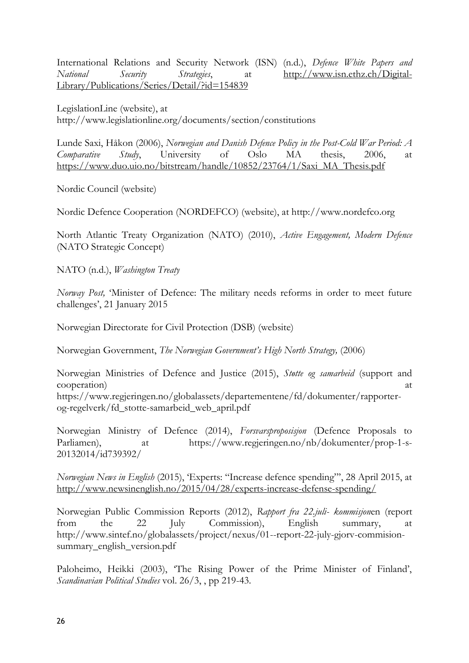International Relations and Security Network (ISN) (n.d.), *Defence White Papers and National Security Strategies*, at [http://www.isn.ethz.ch/Digital-](http://www.isn.ethz.ch/Digital-Library/Publications/Series/Detail/?id=154839)[Library/Publications/Series/Detail/?id=154839](http://www.isn.ethz.ch/Digital-Library/Publications/Series/Detail/?id=154839)

LegislationLine (website), at http://www.legislationline.org/documents/section/constitutions

Lunde Saxi, Håkon (2006), *Norwegian and Danish Defence Policy in the Post-Cold War Period: A Comparative Study*, University of Oslo MA thesis, 2006, at [https://www.duo.uio.no/bitstream/handle/10852/23764/1/Saxi\\_MA\\_Thesis.pdf](https://www.duo.uio.no/bitstream/handle/10852/23764/1/Saxi_MA_Thesis.pdf)

Nordic Council (website)

Nordic Defence Cooperation (NORDEFCO) (website), at http://www.nordefco.org

North Atlantic Treaty Organization (NATO) (2010), *Active Engagement, Modern Defence* (NATO Strategic Concept)

NATO (n.d.), *Washington Treaty*

*Norway Post,* 'Minister of Defence: The military needs reforms in order to meet future challenges', 21 January 2015

Norwegian Directorate for Civil Protection (DSB) (website)

Norwegian Government, *The Norwegian Government's High North Strategy,* (2006)

Norwegian Ministries of Defence and Justice (2015), *Støtte og samarbeid* (support and cooperation) at the cooperation of the cooperation at the cooperation of the cooperation at  $\alpha$ 

https://www.regjeringen.no/globalassets/departementene/fd/dokumenter/rapporterog-regelverk/fd\_stotte-samarbeid\_web\_april.pdf

Norwegian Ministry of Defence (2014), *Forsvarsproposisjon* (Defence Proposals to Parliamen), at https://www.regjeringen.no/nb/dokumenter/prop-1-s-20132014/id739392/

*Norwegian News in English* (2015), 'Experts: "Increase defence spending"', 28 April 2015, at <http://www.newsinenglish.no/2015/04/28/experts-increase-defense-spending/>

Norwegian Public Commission Reports (2012), *Rapport fra 22.juli- kommisjon*en (report from the 22 July Commission), English summary, at http://www.sintef.no/globalassets/project/nexus/01--report-22-july-gjorv-commisionsummary\_english\_version.pdf

Paloheimo, Heikki (2003), 'The Rising Power of the Prime Minister of Finland', *Scandinavian Political Studies* vol. 26/3, , pp 219-43.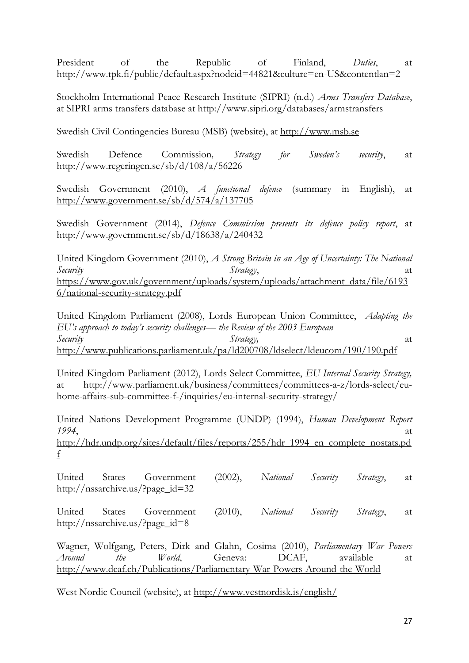President of the Republic of Finland, *Duties*, at <http://www.tpk.fi/public/default.aspx?nodeid=44821&culture=en-US&contentlan=2>

Stockholm International Peace Research Institute (SIPRI) (n.d.) *Arms Transfers Database*, at SIPRI arms transfers database at http://www.sipri.org/databases/armstransfers

Swedish Civil Contingencies Bureau (MSB) (website), at [http://www.msb.se](http://www.msb.se/)

Swedish Defence Commission*, Strategy for Sweden's security*, at http://www.regeringen.se/sb/d/108/a/56226

Swedish Government (2010), *A functional defence* (summary in English), at <http://www.government.se/sb/d/574/a/137705>

Swedish Government (2014), *Defence Commission presents its defence policy report*, at http://www.government.se/sb/d/18638/a/240432

United Kingdom Government (2010), *A Strong Britain in an Age of Uncertainty: The National Security* at *Strategy*, and *Strategy*, at at an *Strategy*, and *Strategy*, and *Strategy*, and *Strategy*, and *Strategy*, and *Strategy*, and *Strategy*, and *Strategy*, and *Strategy*, and *Strategy*, and *Strategy*, [https://www.gov.uk/government/uploads/system/uploads/attachment\\_data/file/6193](https://www.gov.uk/government/uploads/system/uploads/attachment_data/file/61936/national-security-strategy.pdf) [6/national-security-strategy.pdf](https://www.gov.uk/government/uploads/system/uploads/attachment_data/file/61936/national-security-strategy.pdf)

United Kingdom Parliament (2008), Lords European Union Committee, *Adapting the EU's approach to today's security challenges— the Review of the 2003 European Security Strategy,* at <http://www.publications.parliament.uk/pa/ld200708/ldselect/ldeucom/190/190.pdf>

United Kingdom Parliament (2012), Lords Select Committee, *EU Internal Security Strategy,*  at http://www.parliament.uk/business/committees/committees-a-z/lords-select/euhome-affairs-sub-committee-f-/inquiries/eu-internal-security-strategy/

United Nations Development Programme (UNDP) (1994), *Human Development Report 1994*, at [http://hdr.undp.org/sites/default/files/reports/255/hdr\\_1994\\_en\\_complete\\_nostats.pd](http://hdr.undp.org/sites/default/files/reports/255/hdr_1994_en_complete_nostats.pdf) [f](http://hdr.undp.org/sites/default/files/reports/255/hdr_1994_en_complete_nostats.pdf)

United States Government (2002), *National Security Strategy*, at http://nssarchive.us/?page\_id=32

United States Government (2010), *National Security Strategy*, at http://nssarchive.us/?page\_id=8

Wagner, Wolfgang, Peters, Dirk and Glahn, Cosima (2010), *Parliamentary War Powers Around the World*, Geneva: DCAF, available at <http://www.dcaf.ch/Publications/Parliamentary-War-Powers-Around-the-World>

West Nordic Council (website), at<http://www.vestnordisk.is/english/>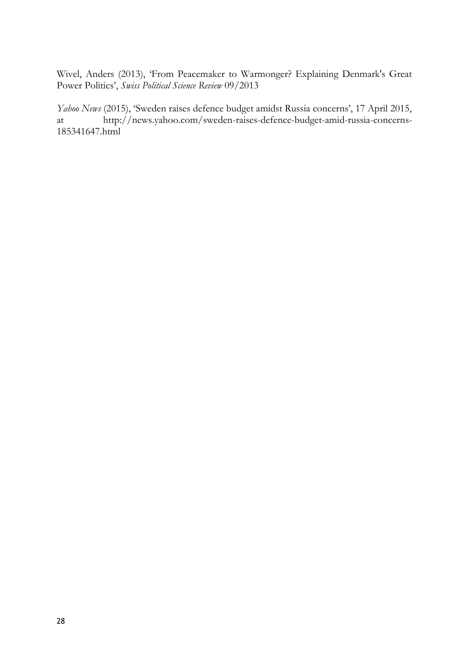Wivel, Anders (2013), 'From Peacemaker to Warmonger? Explaining Denmark's Great Power Politics', *Swiss Political Science Review* 09/2013

*Yahoo News* (2015), 'Sweden raises defence budget amidst Russia concerns', 17 April 2015, at http://news.yahoo.com/sweden-raises-defence-budget-amid-russia-concerns-185341647.html